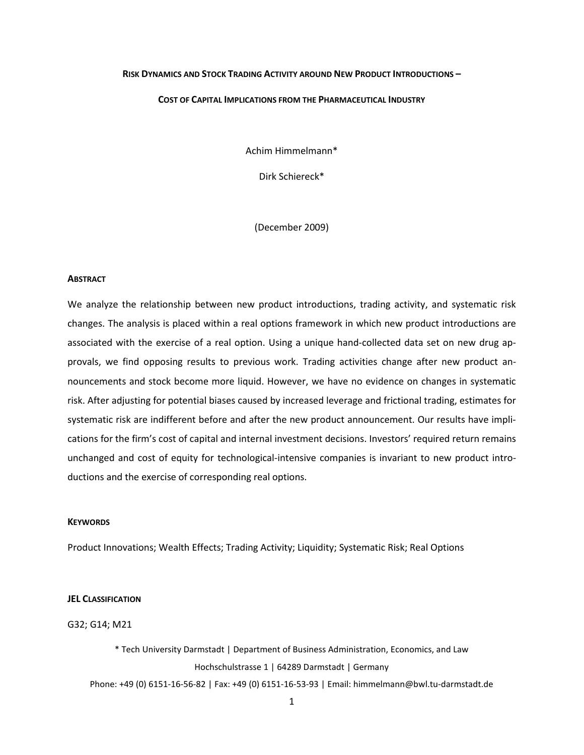# **RISK DYNAMICS AND STOCK TRADING ACTIVITY AROUND NEW PRODUCT INTRODUCTIONS –**

### **COST OF CAPITAL IMPLICATIONS FROM THE PHARMACEUTICAL INDUSTRY**

Achim Himmelmann\*

Dirk Schiereck\*

(December 2009)

#### **ABSTRACT**

We analyze the relationship between new product introductions, trading activity, and systematic risk changes. The analysis is placed within a real options framework in which new product introductions are associated with the exercise of a real option. Using a unique hand-collected data set on new drug approvals, we find opposing results to previous work. Trading activities change after new product announcements and stock become more liquid. However, we have no evidence on changes in systematic risk. After adjusting for potential biases caused by increased leverage and frictional trading, estimates for systematic risk are indifferent before and after the new product announcement. Our results have implications for the firm's cost of capital and internal investment decisions. Investors' required return remains unchanged and cost of equity for technological-intensive companies is invariant to new product introductions and the exercise of corresponding real options.

### **KEYWORDS**

Product Innovations; Wealth Effects; Trading Activity; Liquidity; Systematic Risk; Real Options

#### **JEL CLASSIFICATION**

G32; G14; M21

\* Tech University Darmstadt | Department of Business Administration, Economics, and Law Hochschulstrasse 1 | 64289 Darmstadt | Germany

Phone: +49 (0) 6151-16-56-82 | Fax: +49 (0) 6151-16-53-93 | Email: himmelmann@bwl.tu-darmstadt.de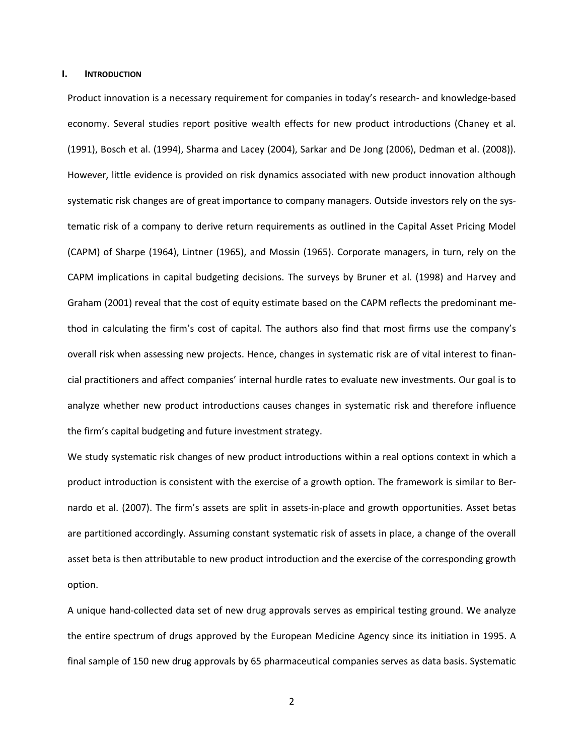### **I. INTRODUCTION**

Product innovation is a necessary requirement for companies in today's research- and knowledge-based economy. Several studies report positive wealth effects for new product introductions (Chaney et al. (1991), Bosch et al. (1994), Sharma and Lacey (2004), Sarkar and De Jong (2006), Dedman et al. (2008)). However, little evidence is provided on risk dynamics associated with new product innovation although systematic risk changes are of great importance to company managers. Outside investors rely on the systematic risk of a company to derive return requirements as outlined in the Capital Asset Pricing Model (CAPM) of Sharpe (1964), Lintner (1965), and Mossin (1965). Corporate managers, in turn, rely on the CAPM implications in capital budgeting decisions. The surveys by Bruner et al. (1998) and Harvey and Graham (2001) reveal that the cost of equity estimate based on the CAPM reflects the predominant method in calculating the firm's cost of capital. The authors also find that most firms use the company's overall risk when assessing new projects. Hence, changes in systematic risk are of vital interest to financial practitioners and affect companies' internal hurdle rates to evaluate new investments. Our goal is to analyze whether new product introductions causes changes in systematic risk and therefore influence the firm's capital budgeting and future investment strategy.

We study systematic risk changes of new product introductions within a real options context in which a product introduction is consistent with the exercise of a growth option. The framework is similar to Bernardo et al. (2007). The firm's assets are split in assets-in-place and growth opportunities. Asset betas are partitioned accordingly. Assuming constant systematic risk of assets in place, a change of the overall asset beta is then attributable to new product introduction and the exercise of the corresponding growth option.

A unique hand-collected data set of new drug approvals serves as empirical testing ground. We analyze the entire spectrum of drugs approved by the European Medicine Agency since its initiation in 1995. A final sample of 150 new drug approvals by 65 pharmaceutical companies serves as data basis. Systematic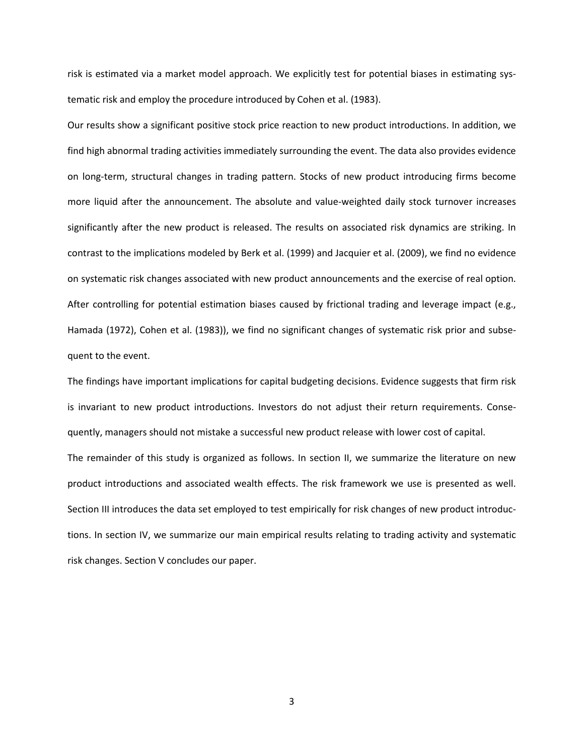risk is estimated via a market model approach. We explicitly test for potential biases in estimating systematic risk and employ the procedure introduced by Cohen et al. (1983).

Our results show a significant positive stock price reaction to new product introductions. In addition, we find high abnormal trading activities immediately surrounding the event. The data also provides evidence on long-term, structural changes in trading pattern. Stocks of new product introducing firms become more liquid after the announcement. The absolute and value-weighted daily stock turnover increases significantly after the new product is released. The results on associated risk dynamics are striking. In contrast to the implications modeled by Berk et al. (1999) and Jacquier et al. (2009), we find no evidence on systematic risk changes associated with new product announcements and the exercise of real option. After controlling for potential estimation biases caused by frictional trading and leverage impact (e.g., Hamada (1972), Cohen et al. (1983)), we find no significant changes of systematic risk prior and subsequent to the event.

The findings have important implications for capital budgeting decisions. Evidence suggests that firm risk is invariant to new product introductions. Investors do not adjust their return requirements. Consequently, managers should not mistake a successful new product release with lower cost of capital.

The remainder of this study is organized as follows. In section II, we summarize the literature on new product introductions and associated wealth effects. The risk framework we use is presented as well. Section III introduces the data set employed to test empirically for risk changes of new product introductions. In section IV, we summarize our main empirical results relating to trading activity and systematic risk changes. Section V concludes our paper.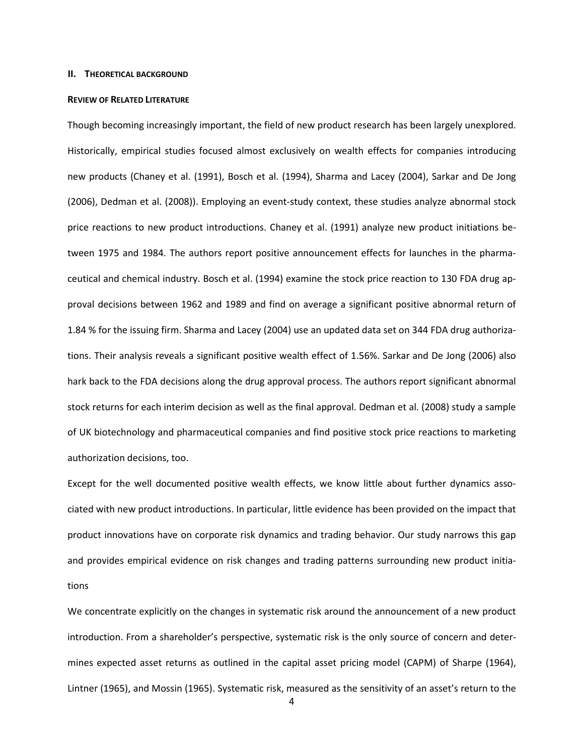### **II. THEORETICAL BACKGROUND**

#### **REVIEW OF RELATED LITERATURE**

Though becoming increasingly important, the field of new product research has been largely unexplored. Historically, empirical studies focused almost exclusively on wealth effects for companies introducing new products (Chaney et al. (1991), Bosch et al. (1994), Sharma and Lacey (2004), Sarkar and De Jong (2006), Dedman et al. (2008)). Employing an event-study context, these studies analyze abnormal stock price reactions to new product introductions. Chaney et al. (1991) analyze new product initiations between 1975 and 1984. The authors report positive announcement effects for launches in the pharmaceutical and chemical industry. Bosch et al. (1994) examine the stock price reaction to 130 FDA drug approval decisions between 1962 and 1989 and find on average a significant positive abnormal return of 1.84 % for the issuing firm. Sharma and Lacey (2004) use an updated data set on 344 FDA drug authorizations. Their analysis reveals a significant positive wealth effect of 1.56%. Sarkar and De Jong (2006) also hark back to the FDA decisions along the drug approval process. The authors report significant abnormal stock returns for each interim decision as well as the final approval. Dedman et al. (2008) study a sample of UK biotechnology and pharmaceutical companies and find positive stock price reactions to marketing authorization decisions, too.

Except for the well documented positive wealth effects, we know little about further dynamics associated with new product introductions. In particular, little evidence has been provided on the impact that product innovations have on corporate risk dynamics and trading behavior. Our study narrows this gap and provides empirical evidence on risk changes and trading patterns surrounding new product initiations

We concentrate explicitly on the changes in systematic risk around the announcement of a new product introduction. From a shareholder's perspective, systematic risk is the only source of concern and determines expected asset returns as outlined in the capital asset pricing model (CAPM) of Sharpe (1964), Lintner (1965), and Mossin (1965). Systematic risk, measured as the sensitivity of an asset's return to the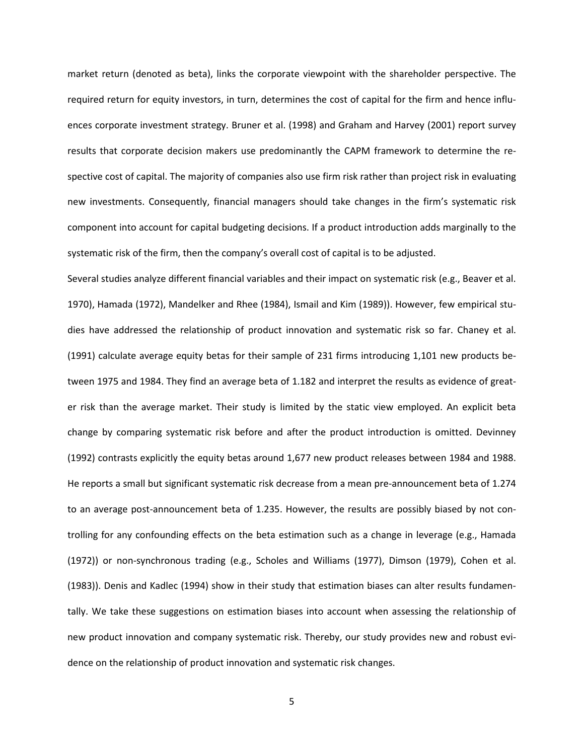market return (denoted as beta), links the corporate viewpoint with the shareholder perspective. The required return for equity investors, in turn, determines the cost of capital for the firm and hence influences corporate investment strategy. Bruner et al. (1998) and Graham and Harvey (2001) report survey results that corporate decision makers use predominantly the CAPM framework to determine the respective cost of capital. The majority of companies also use firm risk rather than project risk in evaluating new investments. Consequently, financial managers should take changes in the firm's systematic risk component into account for capital budgeting decisions. If a product introduction adds marginally to the systematic risk of the firm, then the company's overall cost of capital is to be adjusted.

Several studies analyze different financial variables and their impact on systematic risk (e.g., Beaver et al. 1970), Hamada (1972), Mandelker and Rhee (1984), Ismail and Kim (1989)). However, few empirical studies have addressed the relationship of product innovation and systematic risk so far. Chaney et al. (1991) calculate average equity betas for their sample of 231 firms introducing 1,101 new products between 1975 and 1984. They find an average beta of 1.182 and interpret the results as evidence of greater risk than the average market. Their study is limited by the static view employed. An explicit beta change by comparing systematic risk before and after the product introduction is omitted. Devinney (1992) contrasts explicitly the equity betas around 1,677 new product releases between 1984 and 1988. He reports a small but significant systematic risk decrease from a mean pre-announcement beta of 1.274 to an average post-announcement beta of 1.235. However, the results are possibly biased by not controlling for any confounding effects on the beta estimation such as a change in leverage (e.g., Hamada (1972)) or non-synchronous trading (e.g., Scholes and Williams (1977), Dimson (1979), Cohen et al. (1983)). Denis and Kadlec (1994) show in their study that estimation biases can alter results fundamentally. We take these suggestions on estimation biases into account when assessing the relationship of new product innovation and company systematic risk. Thereby, our study provides new and robust evidence on the relationship of product innovation and systematic risk changes.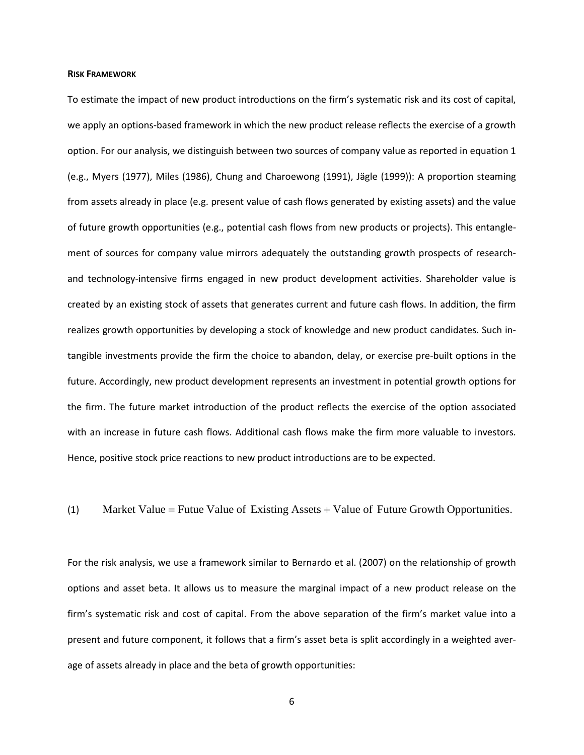### **RISK FRAMEWORK**

To estimate the impact of new product introductions on the firm's systematic risk and its cost of capital, we apply an options-based framework in which the new product release reflects the exercise of a growth option. For our analysis, we distinguish between two sources of company value as reported in equation 1 (e.g., Myers (1977), Miles (1986), Chung and Charoewong (1991), Jägle (1999)): A proportion steaming from assets already in place (e.g. present value of cash flows generated by existing assets) and the value of future growth opportunities (e.g., potential cash flows from new products or projects). This entanglement of sources for company value mirrors adequately the outstanding growth prospects of researchand technology-intensive firms engaged in new product development activities. Shareholder value is created by an existing stock of assets that generates current and future cash flows. In addition, the firm realizes growth opportunities by developing a stock of knowledge and new product candidates. Such intangible investments provide the firm the choice to abandon, delay, or exercise pre-built options in the future. Accordingly, new product development represents an investment in potential growth options for the firm. The future market introduction of the product reflects the exercise of the option associated with an increase in future cash flows. Additional cash flows make the firm more valuable to investors. Hence, positive stock price reactions to new product introductions are to be expected.

(1) Market Value = Futue Value of Existing Assets + Value of Future Growth Opportunities.

For the risk analysis, we use a framework similar to Bernardo et al. (2007) on the relationship of growth options and asset beta. It allows us to measure the marginal impact of a new product release on the firm's systematic risk and cost of capital. From the above separation of the firm's market value into a present and future component, it follows that a firm's asset beta is split accordingly in a weighted average of assets already in place and the beta of growth opportunities: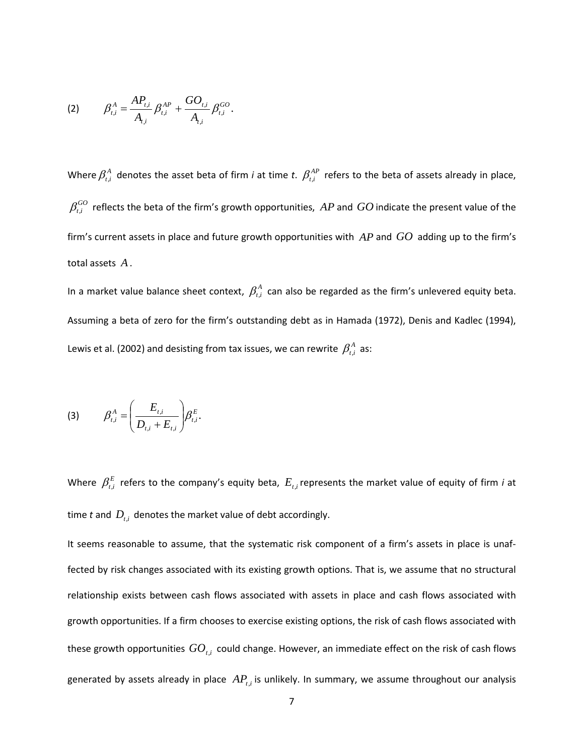(2) 
$$
\beta_{t,i}^A = \frac{AP_{t,i}}{A_{t,i}} \beta_{t,i}^{AP} + \frac{GO_{t,i}}{A_{t,i}} \beta_{t,i}^{GO}.
$$

Where  $\beta_{t,i}^A$  denotes the asset beta of firm *i* at time *t*.  $\beta_{t,i}^{AP}$  refers to the beta of assets already in place,  $\beta_{t,i}^{GO}$  reflects the beta of the firm's growth opportunities,  $AP$  and  $GO$  indicate the present value of the firm's current assets in place and future growth opportunities with *AP* and *GO* adding up to the firm's total assets *A* .

In a market value balance sheet context,  $\beta_{t,i}^A$  can also be regarded as the firm's unlevered equity beta. Assuming a beta of zero for the firm's outstanding debt as in Hamada (1972), Denis and Kadlec (1994), Lewis et al. (2002) and desisting from tax issues, we can rewrite  $\beta^A_{t,i}$  as:

$$
(3) \qquad \beta_{t,i}^A = \left(\frac{E_{t,i}}{D_{t,i} + E_{t,i}}\right) \beta_{t,i}^E.
$$

Where  $\beta_{t,i}^E$  refers to the company's equity beta,  $E_{t,i}$  represents the market value of equity of firm *i* at time  $t$  and  $D_{t,i}$  denotes the market value of debt accordingly.

It seems reasonable to assume, that the systematic risk component of a firm's assets in place is unaffected by risk changes associated with its existing growth options. That is, we assume that no structural relationship exists between cash flows associated with assets in place and cash flows associated with growth opportunities. If a firm chooses to exercise existing options, the risk of cash flows associated with these growth opportunities  $GO_{t,i}$  could change. However, an immediate effect on the risk of cash flows generated by assets already in place  $AP_{t,i}$  is unlikely. In summary, we assume throughout our analysis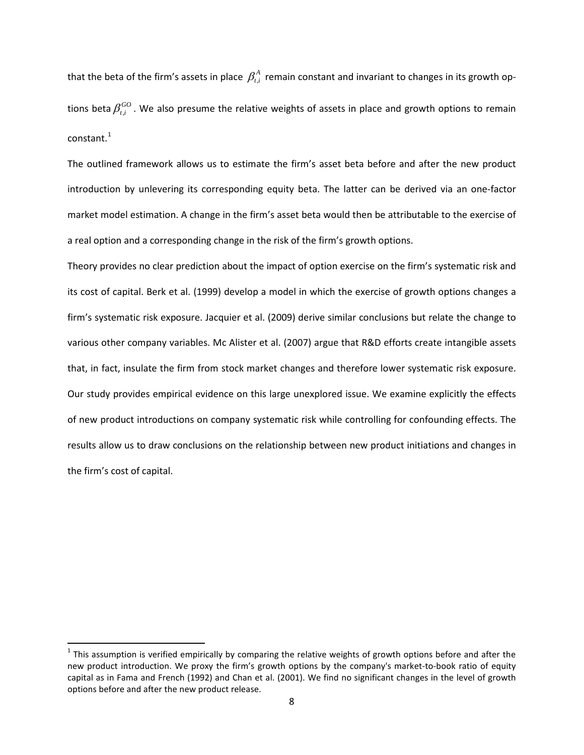that the beta of the firm's assets in place  $\beta_{i}^{A}$  remain constant and invariant to changes in its growth options beta  $\beta_{t,i}^{GO}$ . We also presume the relative weights of assets in place and growth options to remain constant.<sup>[1](#page-7-0)</sup>

The outlined framework allows us to estimate the firm's asset beta before and after the new product introduction by unlevering its corresponding equity beta. The latter can be derived via an one-factor market model estimation. A change in the firm's asset beta would then be attributable to the exercise of a real option and a corresponding change in the risk of the firm's growth options.

Theory provides no clear prediction about the impact of option exercise on the firm's systematic risk and its cost of capital. Berk et al. (1999) develop a model in which the exercise of growth options changes a firm's systematic risk exposure. Jacquier et al. (2009) derive similar conclusions but relate the change to various other company variables. Mc Alister et al. (2007) argue that R&D efforts create intangible assets that, in fact, insulate the firm from stock market changes and therefore lower systematic risk exposure. Our study provides empirical evidence on this large unexplored issue. We examine explicitly the effects of new product introductions on company systematic risk while controlling for confounding effects. The results allow us to draw conclusions on the relationship between new product initiations and changes in the firm's cost of capital.

<span id="page-7-0"></span> $1$  This assumption is verified empirically by comparing the relative weights of growth options before and after the new product introduction. We proxy the firm's growth options by the company's market-to-book ratio of equity capital as in Fama and French (1992) and Chan et al. (2001). We find no significant changes in the level of growth options before and after the new product release.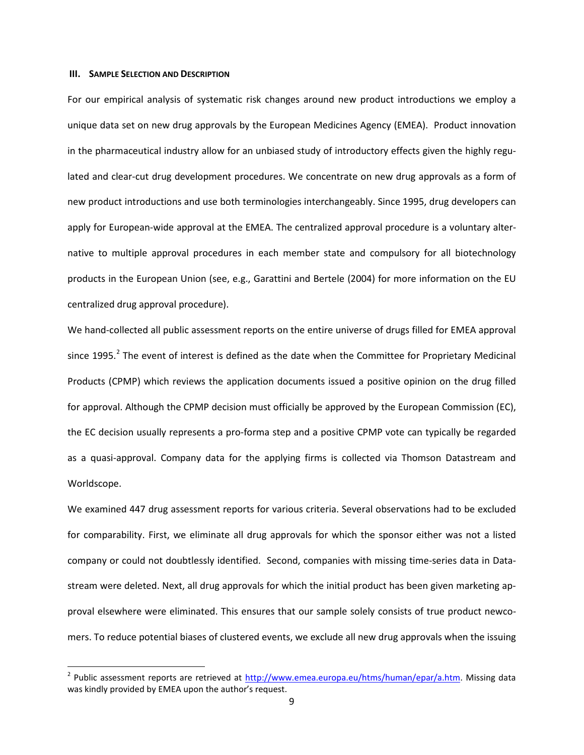# **III. SAMPLE SELECTION AND DESCRIPTION**

For our empirical analysis of systematic risk changes around new product introductions we employ a unique data set on new drug approvals by the European Medicines Agency (EMEA). Product innovation in the pharmaceutical industry allow for an unbiased study of introductory effects given the highly regulated and clear-cut drug development procedures. We concentrate on new drug approvals as a form of new product introductions and use both terminologies interchangeably. Since 1995, drug developers can apply for European-wide approval at the EMEA. The centralized approval procedure is a voluntary alternative to multiple approval procedures in each member state and compulsory for all biotechnology products in the European Union (see, e.g., Garattini and Bertele (2004) for more information on the EU centralized drug approval procedure).

We hand-collected all public assessment reports on the entire universe of drugs filled for EMEA approval since 1995.<sup>[2](#page-8-0)</sup> The event of interest is defined as the date when the Committee for Proprietary Medicinal Products (CPMP) which reviews the application documents issued a positive opinion on the drug filled for approval. Although the CPMP decision must officially be approved by the European Commission (EC), the EC decision usually represents a pro-forma step and a positive CPMP vote can typically be regarded as a quasi-approval. Company data for the applying firms is collected via Thomson Datastream and Worldscope.

We examined 447 drug assessment reports for various criteria. Several observations had to be excluded for comparability. First, we eliminate all drug approvals for which the sponsor either was not a listed company or could not doubtlessly identified. Second, companies with missing time-series data in Datastream were deleted. Next, all drug approvals for which the initial product has been given marketing approval elsewhere were eliminated. This ensures that our sample solely consists of true product newcomers. To reduce potential biases of clustered events, we exclude all new drug approvals when the issuing

<span id="page-8-0"></span><sup>&</sup>lt;sup>2</sup> Public assessment reports are retrieved at [http://www.emea.europa.eu/htms/human/epar/a.htm.](http://www.emea.europa.eu/htms/human/epar/a.htm) Missing data was kindly provided by EMEA upon the author's request.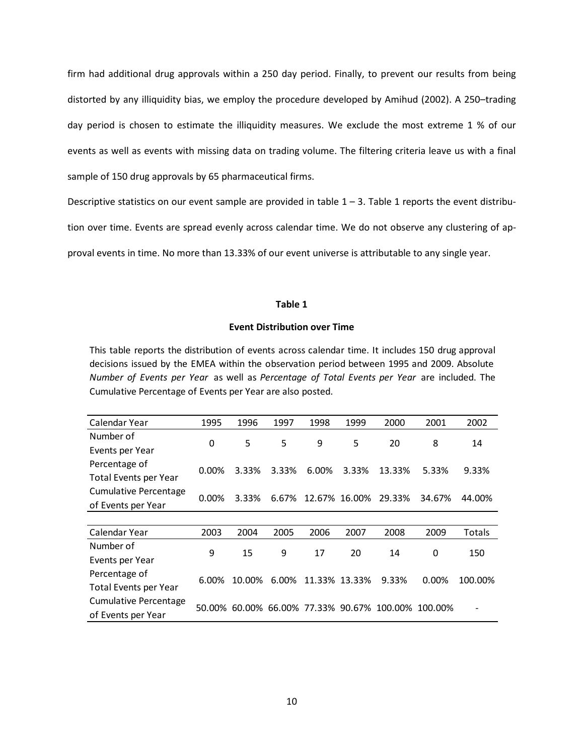firm had additional drug approvals within a 250 day period. Finally, to prevent our results from being distorted by any illiquidity bias, we employ the procedure developed by Amihud (2002). A 250–trading day period is chosen to estimate the illiquidity measures. We exclude the most extreme 1 % of our events as well as events with missing data on trading volume. The filtering criteria leave us with a final sample of 150 drug approvals by 65 pharmaceutical firms.

Descriptive statistics on our event sample are provided in table  $1 - 3$ . Table 1 reports the event distribu-

tion over time. Events are spread evenly across calendar time. We do not observe any clustering of ap-

proval events in time. No more than 13.33% of our event universe is attributable to any single year.

### **Table 1**

# **Event Distribution over Time**

This table reports the distribution of events across calendar time. It includes 150 drug approval decisions issued by the EMEA within the observation period between 1995 and 2009. Absolute *Number of Events per Year* as well as *Percentage of Total Events per Year* are included. The Cumulative Percentage of Events per Year are also posted.

| Calendar Year                | 1995     | 1996   | 1997  | 1998          | 1999  | 2000                                               | 2001   | 2002    |
|------------------------------|----------|--------|-------|---------------|-------|----------------------------------------------------|--------|---------|
| Number of                    | 0        | 5      | 5     | 9             | 5     | 20                                                 | 8      | 14      |
| Events per Year              |          |        |       |               |       |                                                    |        |         |
| Percentage of                | 0.00%    | 3.33%  | 3.33% | 6.00%         | 3.33% | 13.33%                                             | 5.33%  | 9.33%   |
| Total Events per Year        |          |        |       |               |       |                                                    |        |         |
| <b>Cumulative Percentage</b> | $0.00\%$ | 3.33%  | 6.67% | 12.67% 16.00% |       | 29.33%                                             | 34.67% |         |
| of Events per Year           |          |        |       |               |       |                                                    |        | 44.00%  |
|                              |          |        |       |               |       |                                                    |        |         |
| Calendar Year                | 2003     | 2004   | 2005  | 2006          | 2007  | 2008                                               | 2009   | Totals  |
| Number of                    | 9        | 15     | 9     | 17            | 20    | 14                                                 | 0      | 150     |
| Events per Year              |          |        |       |               |       |                                                    |        |         |
| Percentage of                | 6.00%    | 10.00% | 6.00% | 11.33% 13.33% |       | 9.33%                                              | 0.00%  | 100.00% |
| Total Events per Year        |          |        |       |               |       |                                                    |        |         |
| <b>Cumulative Percentage</b> |          |        |       |               |       | 50.00% 60.00% 66.00% 77.33% 90.67% 100.00% 100.00% |        |         |
| of Events per Year           |          |        |       |               |       |                                                    |        |         |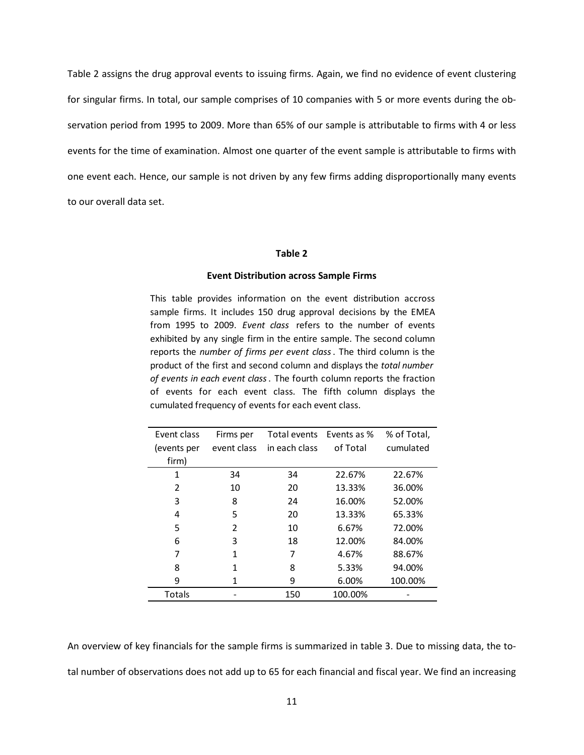Table 2 assigns the drug approval events to issuing firms. Again, we find no evidence of event clustering for singular firms. In total, our sample comprises of 10 companies with 5 or more events during the observation period from 1995 to 2009. More than 65% of our sample is attributable to firms with 4 or less events for the time of examination. Almost one quarter of the event sample is attributable to firms with one event each. Hence, our sample is not driven by any few firms adding disproportionally many events to our overall data set.

### **Table 2**

#### **Event Distribution across Sample Firms**

This table provides information on the event distribution accross sample firms. It includes 150 drug approval decisions by the EMEA from 1995 to 2009. *Event class* refers to the number of events exhibited by any single firm in the entire sample. The second column reports the *number of firms per event class*. The third column is the product of the first and second column and displays the *total number of events in each event class*. The fourth column reports the fraction of events for each event class. The fifth column displays the cumulated frequency of events for each event class.

| Event class   | Firms per      | Total events  | Events as % | % of Total, |
|---------------|----------------|---------------|-------------|-------------|
| events per    | event class    | in each class | of Total    | cumulated   |
| firm)         |                |               |             |             |
| 1             | 34             | 34            | 22.67%      | 22.67%      |
| 2             | 10             | 20            | 13.33%      | 36.00%      |
| 3             | 8              | 24            | 16.00%      | 52.00%      |
| 4             | 5              | 20            | 13.33%      | 65.33%      |
| 5             | $\overline{2}$ | 10            | 6.67%       | 72.00%      |
| 6             | 3              | 18            | 12.00%      | 84.00%      |
| 7             | 1              | 7             | 4.67%       | 88.67%      |
| 8             | 1              | 8             | 5.33%       | 94.00%      |
| 9             | 1              | 9             | 6.00%       | 100.00%     |
| <b>Totals</b> |                | 150           | 100.00%     |             |

An overview of key financials for the sample firms is summarized in table 3. Due to missing data, the total number of observations does not add up to 65 for each financial and fiscal year. We find an increasing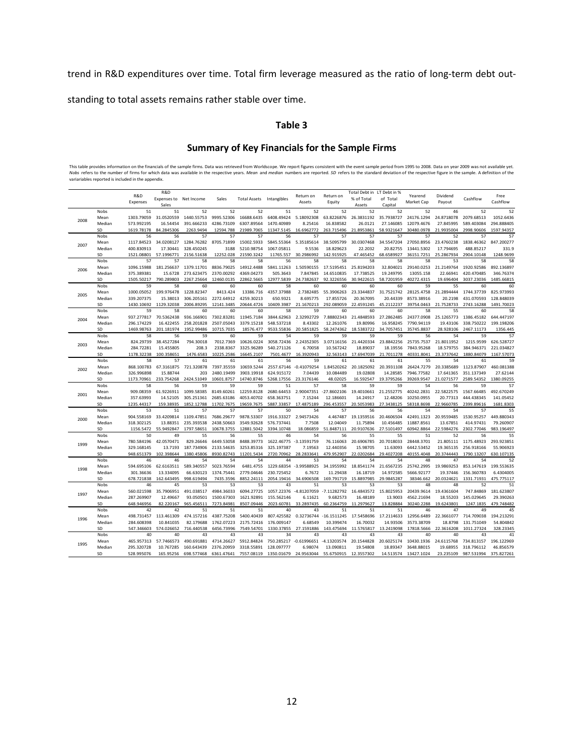trend in R&D expenditures over time. Total firm leverage measured as the ratio of long-term debt out-

standing to total assets remains rather stable over time.

# **Table 3**

# **Summary of Key Financials for the Sample Firms**

This table provides information on the financials of the sample firms. Data was retrieved from Worldscope. We report figures consistent with the event sample period from 1995 to 2008. Data on year 2009 was not available ye

|      |                |                          | R&D                     |                          |                          |                          |                          |                         |                         | Total Debt in          | LT Debt in %            |                          |                         |                          |                         |
|------|----------------|--------------------------|-------------------------|--------------------------|--------------------------|--------------------------|--------------------------|-------------------------|-------------------------|------------------------|-------------------------|--------------------------|-------------------------|--------------------------|-------------------------|
|      |                | R&D                      | Expenses to Net Income  |                          | Sales                    | <b>Total Assets</b>      | Intangibles              | Return on               | Return on               | % of Total             | of Total                | Yearend                  | Dividend                | Cashflow                 | Free<br>Cashflow        |
|      |                | Expenses                 | Sales                   |                          |                          |                          |                          | Assets                  | Equity                  | Assets                 | Capital                 | Market Cap               | Payout                  |                          |                         |
|      | Nobs           | 51                       | 51                      | 52                       | 52                       | 52                       | 51                       | 52                      | 52                      | 52                     | 52                      | 52                       | 46                      | 52                       | 52                      |
| 2008 | Mean           | 1303.79059               | 31.0520559              | 1440.55753               | 9995.52306               | 16688.6435               | 6408.49424               | 5.18092308              | 63.8226876              | 26.3831192             | 35.7938727              | 24176.1294               | 24.8718078              | 2079.68513               | 1052.6436               |
|      | Median         | 573.992195               | 16.54454                | 391.666233               | 4286.73109               | 6307.89564               | 1470.40989               | 8.25416                 | 16.838582               | 26.0121                | 27.146085               | 12079.4676               | 27.845995               | 589.403084               | 294.888405              |
|      | SD             | 1619.78178               | 84.2845306              | 2263.9494                | 12594.788                | 21989.7065               | 11347.5145               | 16.6962772              | 263.715496              | 21.8953861             | 58.9321647              | 30480.0978               | 21.9935004              | 2998.90606               | 1597.94357              |
|      | Nobs           | 56                       | 56                      | 57                       | 57                       | 57                       | 56                       | 57                      | 57                      | 57                     | 57                      | 57                       | 52                      | 57                       | 57                      |
| 2007 | Mean<br>Median | 1117.84523<br>400.830913 | 34.0208127<br>17.30441  | 1284.76282<br>328.450245 | 8705.71899<br>3188       | 15002.5933<br>5210.98754 | 5845.55364<br>1067.05811 | 5.35185614<br>9.5536    | 38.5095799<br>18.829623 | 30.0307468<br>22.2032  | 34.5547204<br>20.82755  | 27050.8956<br>13441.5302 | 23.4760238<br>17.794695 | 1838.46362<br>488.85217  | 847.200277<br>331.9     |
|      | SD             | 1521.08801               | 57.1996771              | 2156.51638               | 12252.028                | 21590.3242               | 11765.557                | 30.2986992              | 142.915925              | 47.465452              | 68.6589927              | 36151.7251               | 25.2867934              | 2904.10148               | 1248.9699               |
|      | Nobs           | 57                       | 57                      | 58                       | 58                       | 58                       | 56                       | 58                      | 58                      | 58                     | 58                      | 58                       | 53                      | 58                       | 58                      |
|      | Mean           | 1096.15988               | 181.256637              | 1379.11701               | 8836.79025               | 14912.4488               | 5841.11263               | 1.50590155              | 17.5195451              | 25.8194203             | 32.804021               | 29140.0253               | 21.2149764              | 1920.92586               | 892.136897              |
| 2006 | Median         | 375.389381               | 15.6728                 | 273.623475               | 2370.00292               | 4369.04273               | 505.3643                 | 7.847845                | 14.6510835              | 17.738525              | 19.249795               | 13055.158                | 22.66941                | 420.470485               | 346.76374               |
|      | SD             | 1505.50217               | 790.289803              | 2267.25664               | 12460.0135               | 22862.5665               | 12977.5839               | 24.7382637              | 92.3226556              | 30.9422615             | 58.7201959              | 40272.4315               | 19.696404               | 3037.23036               | 1485.66815              |
|      | Nobs           | 59                       | 58                      | 60                       | 60                       | 60                       | 58                       | 60                      | 60                      | 60                     | 60                      | 59                       | 55                      | 60                       | 60                      |
|      | Mean           | 1000.05052               | 199.976478              | 1228.82347               | 8413.424                 | 13386.716                | 4357.37988               | 2.7382485               | 55.3906263              | 23.3344837             | 31.7521742              | 28125.4758               | 21.2894444              | 1744.37739               | 825.973993              |
| 2005 | Median         | 339.207375               | 15.38013                | 306.205161               | 2272.64912               | 4259.30213               | 650.9321                 | 8.695775                | 17.855726               | 20.367095              | 20.44339                | 8573.38916               | 20.2198                 | 431.070593               | 128.848039              |
|      | SD             | 1430.10692               | 1129.32038              | 2006.89295               | 12141.3485               | 20644.4726               | 10409.3987               | 21.1670213              | 292.089059              | 22.4591245             | 45.2112237              | 39754.0463               | 21.7528733              | 2743.16288               | 1491.70023              |
|      | Nobs           | 59                       | 58                      | 60                       | 60                       | 60                       | 58                       | 59                      | 60                      | 60                     | 60                      | 58                       | 55                      | 60                       | 58                      |
| 2004 | Mean           | 937.277817               | 70.5362438              | 936.166901               | 7302.83281               | 11945.7184               | 3844.62963               | 2.32992729              | 7.88802343              | 21.4848593             | 27.2862485              | 24377.0908               | 25.1265773              | 1386.45182               | 644.447197              |
|      | Median         | 296.174229               | 16.422455               | 258.201828               | 2507.05043               | 3379.15218               | 548.537218               | 8.43302                 | 12.261076               | 19.80996               | 16.958245               | 7790.94119               | 19.43106                | 338.750222               | 199.198206              |
|      | SD             | 1469.98763               | 201.181974              | 1952.99486               | 10715.7035               | 18576.477                | 9533.55836               | 20.5851825              | 58.2474362              | 18.5383722             | 34.7057451              | 35745.8837               | 28.928106               | 2467.11173               | 1356.445                |
|      | Nobs           | 58                       | 56                      | 59                       | 60                       | 59                       | 54                       | 59                      | 59                      | 59                     | 59                      | 56                       | 54                      | 59                       | 57                      |
| 2003 | Mean           | 824.29739                | 38.4527284              | 794.30018                | 7012.7369                | 10626.0224               | 3058.72436               | 2.24352305              | 3.07116156              | 21.4420334             | 23.8842256              | 25735.7537               | 21.8011952              | 1215.9599                | 626.528727              |
|      | Median         | 284.72281                | 15.455805               | 208.3                    | 2338.8367                | 3325.96289               | 540.271126               | 6.70058                 | 10.567242               | 18.89037               | 18.19556                | 7843.95268               | 18.579755               | 384.946371               | 221.034827              |
|      | SD             | 1178.32238               | 100.358651              | 1476.6583<br>61          | 10225.2586               | 16645.2107               | 7501.4677<br>56          | 16.3920943<br>59        | 32.563143               | 17.6947039             | 21.7011278<br>61        | 40331.8041               | 23.3737642<br>54        | 1880.84079               | 1167.57073              |
|      | Nobs<br>Mean   | 58<br>868.100783         | 57<br>67.3161875        | 721.320878               | 61<br>7397.35559         | 61<br>10659.5244         | 2557.67146               | $-0.41079254$           | 61<br>1.84520262        | 61<br>20.1825092       | 20.3931108              | 55<br>26424.7279         | 20.3385689              | 61<br>1123.87907         | 59<br>460.081388        |
| 2002 | Median         | 326.996898               | 15.88744                | 203                      | 2480.19499               | 3903.19918               | 624.915172               | 7.04439                 | 10.084489               | 19.02808               | 14.28585                | 7946.77582               | 17.641365               | 351.137349               | 27.62144                |
|      | SD             | 1173.70961               | 233.754268              | 2424.51049               | 10601.8757               | 14740.8746               | 5268.17556               | 23.3176146              | 48.02025                | 16.592547              | 19.3795266              | 39269.9547               | 21.0271577              | 2589.54352               | 1380.09255              |
|      | Nobs           | 58                       | 56                      | 59                       | 59                       | 59                       | 51                       | 57                      | 58                      | 59                     | 59                      | 54                       | 56                      | 59                       | 57                      |
|      | Mean           | 909.08359                | 61.9226911              | 1099.58385               | 8149.60261               | 12259.8128               | 2680.64453               | 2.90047351              | $-27.8602106$           | 19.4010661             | 21.2552775              | 40242.2831               | 22.5822575              | 1567.66485               | 492.670249              |
| 2001 | Median         | 357.63993                | 14.52105                | 305.251361               | 2685.63186               | 4053.40702               | 658.363751               | 7.15244                 | 12.186601               | 14.24917               | 12.48206                | 10250.0955               | 20.77313                | 444.438345               | 141.05452               |
|      | SD             | 1235.44317               | 159.38935               | 1852.12788               | 11702.7675               | 19659.7675               | 5887.33857               | 17.4875189              | 296.453557              | 20.5053983             | 27.3438125              | 58318.8698               | 22.9660785              | 2399.89616               | 1681.8303               |
|      | Nobs           | 53                       | 51                      | 57                       | 57                       | 57                       | 50                       | 54                      | 57                      | 56                     | 56                      | 54                       | 54                      | 57                       | 55                      |
| 2000 | Mean           | 904.558169               | 33.4209814              | 1109.47851               | 7686.29677               | 9878.53307               | 1916.33327               | 2.94573426              | 4.467487                | 19.1359516             | 20.4606504              | 42491.1323               | 20.9559485              | 1530.95257               | 449.880343              |
|      | Median         | 318.302125               | 13.88351                | 235.393538               | 2438.50663               | 3549.92628               | 576.737441               | 7.7508                  | 12.04049                | 11.75894               | 10.456485               | 11887.8561               | 13.67851                | 414.97431                | 79.260907               |
|      | SD             | 1156.5472                | 55.9492847              | 1797.58651               | 10678.3755               | 12881.5042               | 3394.10748               | 18.086859               | 51.8487111              | 20.9107636             | 27.5101497              | 60942.8864               | 22.5984276              | 2302.77046               | 983.196497              |
|      | Nobs           | 50                       | 49                      | 55                       | 56                       | 55                       | 46                       | 54                      | 56                      | 55                     | 55                      | 51                       | 52                      | 56                       | 55                      |
| 1999 | Mean           | 780.584196               | 42.0570471              | 829.26646                | 6449.53058               | 8488.39773               | 1622.46775               | $-3.13591759$           | 76.116063               | 20.6906785             | 20.7018033              | 28448.3701               |                         | 21.805111 1175.48923     | 293.923851              |
|      | Median         | 329.168145               | 13.7193                 | 187.734906               | 2133.54635               | 3253.85316               | 325.197387               | 7.19563                 | 12.440356               | 15.98705               | 11.63093                | 6442.53452               | 19.365135               | 256.918166               | 55.906923               |
|      | SD             | 948.651379               | 102.398644              | 1380.45806               | 8930.82743               | 11201.5434               | 2720.70962               | 28.2833641              | 479.952907              | 22.0202684             | 29.4027208              | 40155.4048               | 20.3744443              | 1790.13207               | 630.107135              |
|      | Nobs           | 46                       | 46                      | 54                       | 54                       | 54                       | 44                       | 53                      | 54                      | 54                     | 54                      | 48                       | 47                      | 54                       | 52                      |
| 1998 | Mean<br>Median | 594.695106<br>301.36636  | 62.6163511<br>13.334095 | 589.340557<br>66.630123  | 5023.76594<br>1374.75441 | 6481.4755<br>2779.04646  | 1229.68354<br>230.725452 | $-3.99588925$<br>6.7672 | 34.1955992<br>11.29438  | 18.8541174<br>16.18719 | 21.6567235<br>14.972585 | 25742.2995<br>5666.92177 | 19.9869253<br>19.37446  | 853.147619<br>156.360783 | 199.553635<br>6.4304005 |
|      | SD             | 678.721838               | 162.643495              | 998.619494               | 7435.3596                | 8852.24111               | 2054.19416               | 34.6906508              | 169.791719              | 15.8897985             | 29.9845287              | 38346.662                | 20.0324621              | 1331.71931               | 475.775117              |
|      | Nobs           | 46                       | 45                      | 53                       | 53                       | 53                       | 43                       | 51                      | 53                      | 53                     | 53                      | 48                       | 48                      | 52                       | 51                      |
|      | Mean           | 560.021598               | 35.7906951              | 491.038517               | 4984.36033               | 6094.27725               | 1057.22376               | $-4.81207059$           | $-7.11282792$           | 16.4843572             | 15.8025953              | 20439.9614               | 19.4361604              | 747.84869                | 181.623807              |
| 1997 | Median         | 287.269907               | 12.49667                | 93.050501                | 1500.67303               | 1621.92891               | 155.562146               | 6.11621                 | 9.682573                | 16.48189               | 13.9003                 | 4562.21694               | 18.55203                | 145.029645               | 29.390263               |
|      | SD             | 648.946956               | 82.220167               | 965.456511               | 7273.84981               | 8507.09446               | 2023.60781               | 33.2897435              | 60.2364759              | 11.2979627             | 13.828884               | 30240.2288               | 19.6243801              | 1247.1835                | 479.748482              |
|      | Nobs           | 42                       | 42                      | 51                       | 51                       | 51                       | 40                       | 43                      | 51                      | 51                     | 51                      | 46                       | 47                      | 49                       | 45                      |
|      | Mean           | 498.731457               | 113.461309              | 474.157216               | 4387.75208               | 5400.40439               | 807.425582               | 0.32736744              | $-16.1511245$           | 17.5458696             | 17.2114633              | 12956.6489               | 22.3661077              | 714.709038               | 194.213291              |
| 1996 | Median         | 284.608398               | 10.841035               | 82.179688                | 1762.07223               | 2175.72416               | 176.009147               | 6.68549                 | 10.399474               | 16.70032               | 14.93506                | 3573.38709               | 18.8798                 | 131.751049               | 54.804842               |
|      | SD             | 547.346603               | 574.026652              | 716.440538               | 6456.73996               | 7549.54701               | 1330.37855               | 27.1591886              | 143.475694              | 11.5765817             | 13.2419098              | 17818.5666               | 22.3616208              | 1011.27324               | 328.23345               |
|      | <b>Nobs</b>    | 40                       | 40                      | 43                       | 43                       | 43                       | 34                       | 43                      | 43                      | 43                     | 43                      | 40                       | 40                      | 43                       | 41                      |
| 1995 | Mean           | 465.957313               | 57.7466573              | 490.691881               | 4714.26627               | 5912.84824               | 750.285217               | $-0.61996651$           | $-4.13203574$           | 20.1544828             | 20.6025174              | 10430.1936               | 24.6115768              | 734.813157               | 196.122969              |
|      | Median         | 295.320728               | 10.767285               | 160.643439               | 2376.20959               | 3318.55891               | 128.097777               | 6.98074                 | 13.090811               | 19.54808               | 18.89347                | 3648.88015               | 19.68955                | 318.796112               | 46.856579               |
|      | SD             | 528.995076               | 165.95256               | 698.577468               | 6361.47641               | 7557.08119               | 1350.01679               | 24.9563044              | 55.6750915              | 12.3557302             | 14.513574               | 13427.1024               | 23.235109               | 987.531994               | 375.827261              |
|      |                |                          |                         |                          |                          |                          |                          |                         |                         |                        |                         |                          |                         |                          |                         |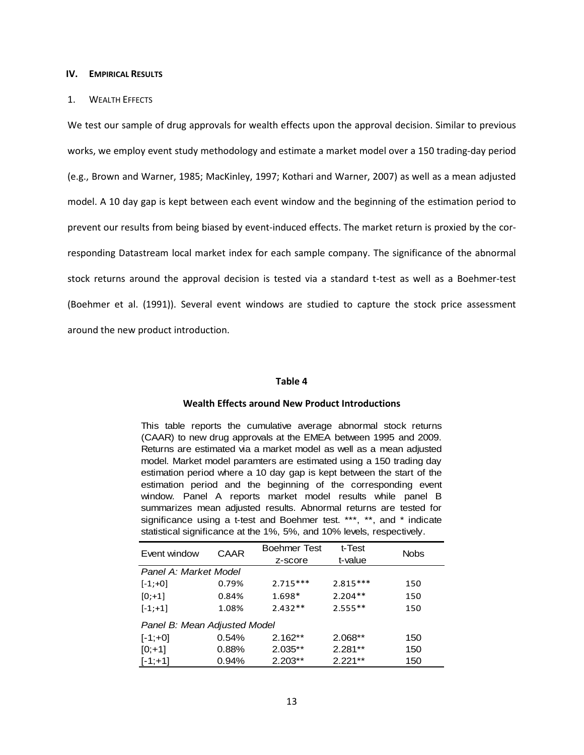### **IV. EMPIRICAL RESULTS**

### 1. WEALTH EFFECTS

We test our sample of drug approvals for wealth effects upon the approval decision. Similar to previous works, we employ event study methodology and estimate a market model over a 150 trading-day period (e.g., Brown and Warner, 1985; MacKinley, 1997; Kothari and Warner, 2007) as well as a mean adjusted model. A 10 day gap is kept between each event window and the beginning of the estimation period to prevent our results from being biased by event-induced effects. The market return is proxied by the corresponding Datastream local market index for each sample company. The significance of the abnormal stock returns around the approval decision is tested via a standard t-test as well as a Boehmer-test (Boehmer et al. (1991)). Several event windows are studied to capture the stock price assessment around the new product introduction.

### **Table 4**

# **Wealth Effects around New Product Introductions**

This table reports the cumulative average abnormal stock returns (CAAR) to new drug approvals at the EMEA between 1995 and 2009. Returns are estimated via a market model as well as a mean adjusted model. Market model paramters are estimated using a 150 trading day estimation period where a 10 day gap is kept between the start of the estimation period and the beginning of the corresponding event window. Panel A reports market model results while panel B summarizes mean adjusted results. Abnormal returns are tested for significance using a t-test and Boehmer test. \*\*\*, \*\*, and \* indicate statistical significance at the 1%, 5%, and 10% levels, respectively.

| Event window                 | <b>CAAR</b> | <b>Boehmer Test</b> | t-Test     | <b>Nobs</b> |
|------------------------------|-------------|---------------------|------------|-------------|
|                              |             | z-score             | t-value    |             |
| Panel A: Market Model        |             |                     |            |             |
| $[-1; +0]$                   | 0.79%       | $2.715***$          | $2.815***$ | 150         |
| $[0; +1]$                    | 0.84%       | $1.698*$            | $2.204**$  | 150         |
| $[-1; +1]$                   | 1.08%       | $2.432**$           | $2.555**$  | 150         |
| Panel B: Mean Adjusted Model |             |                     |            |             |
| $[-1; +0]$                   | 0.54%       | $2.162**$           | 2.068**    | 150         |
| $[0; +1]$                    | 0.88%       | 2.035**             | $2.281**$  | 150         |
| $[-1; +1]$                   | 0.94%       | $2.203**$           | $2.221**$  | 150         |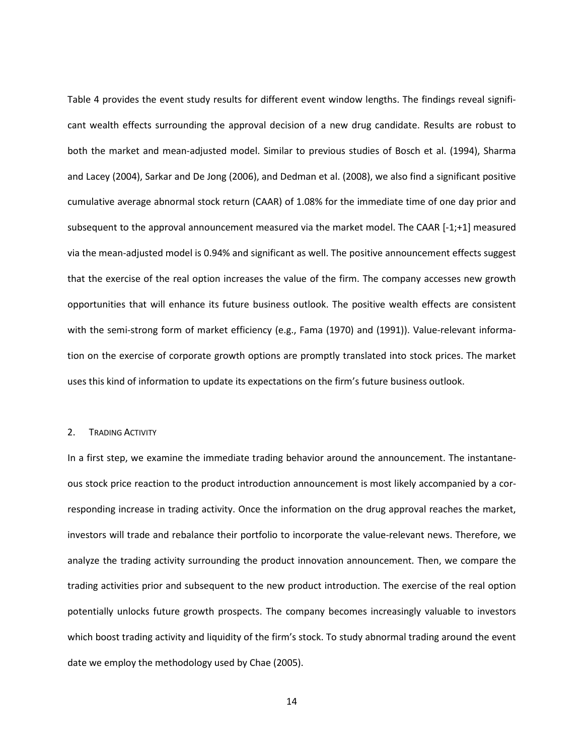Table 4 provides the event study results for different event window lengths. The findings reveal significant wealth effects surrounding the approval decision of a new drug candidate. Results are robust to both the market and mean-adjusted model. Similar to previous studies of Bosch et al. (1994), Sharma and Lacey (2004), Sarkar and De Jong (2006), and Dedman et al. (2008), we also find a significant positive cumulative average abnormal stock return (CAAR) of 1.08% for the immediate time of one day prior and subsequent to the approval announcement measured via the market model. The CAAR [-1;+1] measured via the mean-adjusted model is 0.94% and significant as well. The positive announcement effects suggest that the exercise of the real option increases the value of the firm. The company accesses new growth opportunities that will enhance its future business outlook. The positive wealth effects are consistent with the semi-strong form of market efficiency (e.g., Fama (1970) and (1991)). Value-relevant information on the exercise of corporate growth options are promptly translated into stock prices. The market uses this kind of information to update its expectations on the firm's future business outlook.

#### 2. TRADING ACTIVITY

In a first step, we examine the immediate trading behavior around the announcement. The instantaneous stock price reaction to the product introduction announcement is most likely accompanied by a corresponding increase in trading activity. Once the information on the drug approval reaches the market, investors will trade and rebalance their portfolio to incorporate the value-relevant news. Therefore, we analyze the trading activity surrounding the product innovation announcement. Then, we compare the trading activities prior and subsequent to the new product introduction. The exercise of the real option potentially unlocks future growth prospects. The company becomes increasingly valuable to investors which boost trading activity and liquidity of the firm's stock. To study abnormal trading around the event date we employ the methodology used by Chae (2005).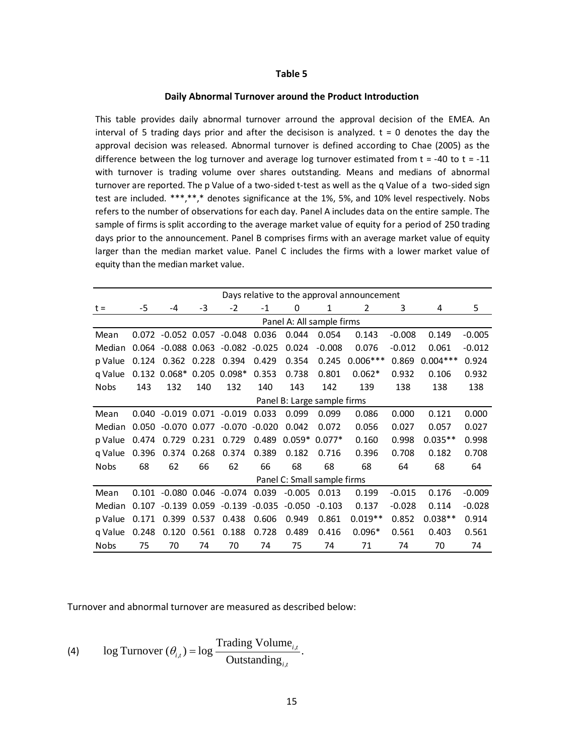### **Table 5**

#### **Daily Abnormal Turnover around the Product Introduction**

This table provides daily abnormal turnover arround the approval decision of the EMEA. An interval of 5 trading days prior and after the decisison is analyzed.  $t = 0$  denotes the day the approval decision was released. Abnormal turnover is defined according to Chae (2005) as the difference between the log turnover and average log turnover estimated from  $t = -40$  to  $t = -11$ with turnover is trading volume over shares outstanding. Means and medians of abnormal turnover are reported. The p Value of a two-sided t-test as well as the q Value of a two-sided sign test are included. \*\*\*,\*\*,\* denotes significance at the 1%, 5%, and 10% level respectively. Nobs refers to the number of observations for each day. Panel A includes data on the entire sample. The sample of firms is split according to the average market value of equity for a period of 250 trading days prior to the announcement. Panel B comprises firms with an average market value of equity larger than the median market value. Panel C includes the firms with a lower market value of equity than the median market value.

|             | Days relative to the approval announcement |                               |       |                             |          |          |                             |            |          |            |          |  |  |  |
|-------------|--------------------------------------------|-------------------------------|-------|-----------------------------|----------|----------|-----------------------------|------------|----------|------------|----------|--|--|--|
| $t =$       | -5                                         | -4                            | -3    | $-2$                        | $-1$     | 0        | 1                           | 2          | 3        | 4          | 5        |  |  |  |
|             |                                            |                               |       |                             |          |          | Panel A: All sample firms   |            |          |            |          |  |  |  |
| Mean        |                                            |                               |       | $0.072 -0.052 0.057 -0.048$ | 0.036    | 0.044    | 0.054                       | 0.143      | $-0.008$ | 0.149      | $-0.005$ |  |  |  |
| Median      | 0.064                                      | -0.088                        | 0.063 | $-0.082$                    | $-0.025$ | 0.024    | $-0.008$                    | 0.076      | $-0.012$ | 0.061      | $-0.012$ |  |  |  |
| p Value     | 0.124                                      | 0.362                         | 0.228 | 0.394                       | 0.429    | 0.354    | 0.245                       | $0.006***$ | 0.869    | $0.004***$ | 0.924    |  |  |  |
| q Value     | 0.132                                      | $0.068*$                      | 0.205 | $0.098*$                    | 0.353    | 0.738    | 0.801                       | $0.062*$   | 0.932    | 0.106      | 0.932    |  |  |  |
| <b>Nobs</b> | 143                                        | 132                           | 140   | 132                         | 140      | 143      | 142                         | 139        | 138      | 138        | 138      |  |  |  |
|             |                                            | Panel B: Large sample firms   |       |                             |          |          |                             |            |          |            |          |  |  |  |
| Mean        | 0.040                                      |                               |       | $-0.019$ 0.071 $-0.019$     | 0.033    | 0.099    | 0.099                       | 0.086      | 0.000    | 0.121      | 0.000    |  |  |  |
| Median      | 0.050                                      | $-0.070$ 0.077                |       | $-0.070$                    | $-0.020$ | 0.042    | 0.072                       | 0.056      | 0.027    | 0.057      | 0.027    |  |  |  |
| p Value     | 0.474                                      | 0.729                         | 0.231 | 0.729                       | 0.489    | $0.059*$ | $0.077*$                    | 0.160      | 0.998    | $0.035**$  | 0.998    |  |  |  |
| q Value     | 0.396                                      | 0.374                         | 0.268 | 0.374                       | 0.389    | 0.182    | 0.716                       | 0.396      | 0.708    | 0.182      | 0.708    |  |  |  |
| <b>Nobs</b> | 68                                         | 62                            | 66    | 62                          | 66       | 68       | 68                          | 68         | 64       | 68         | 64       |  |  |  |
|             |                                            |                               |       |                             |          |          | Panel C: Small sample firms |            |          |            |          |  |  |  |
| Mean        |                                            | $0.101 - 0.080 0.046 - 0.074$ |       |                             | 0.039    | $-0.005$ | 0.013                       | 0.199      | $-0.015$ | 0.176      | $-0.009$ |  |  |  |
| Median      | 0.107                                      | $-0.139$                      | 0.059 | $-0.139$                    | $-0.035$ | $-0.050$ | $-0.103$                    | 0.137      | $-0.028$ | 0.114      | $-0.028$ |  |  |  |
| p Value     | 0.171                                      | 0.399                         | 0.537 | 0.438                       | 0.606    | 0.949    | 0.861                       | $0.019**$  | 0.852    | $0.038**$  | 0.914    |  |  |  |
| q Value     | 0.248                                      | 0.120                         | 0.561 | 0.188                       | 0.728    | 0.489    | 0.416                       | $0.096*$   | 0.561    | 0.403      | 0.561    |  |  |  |
| <b>Nobs</b> | 75                                         | 70                            | 74    | 70                          | 74       | 75       | 74                          | 71         | 74       | 70         | 74       |  |  |  |

Turnover and abnormal turnover are measured as described below:

(4) log Turnover 
$$
(\theta_{i,t}) = \log \frac{\text{Trading Volume}_{i,t}}{\text{Outstanding}_{i,t}}
$$
.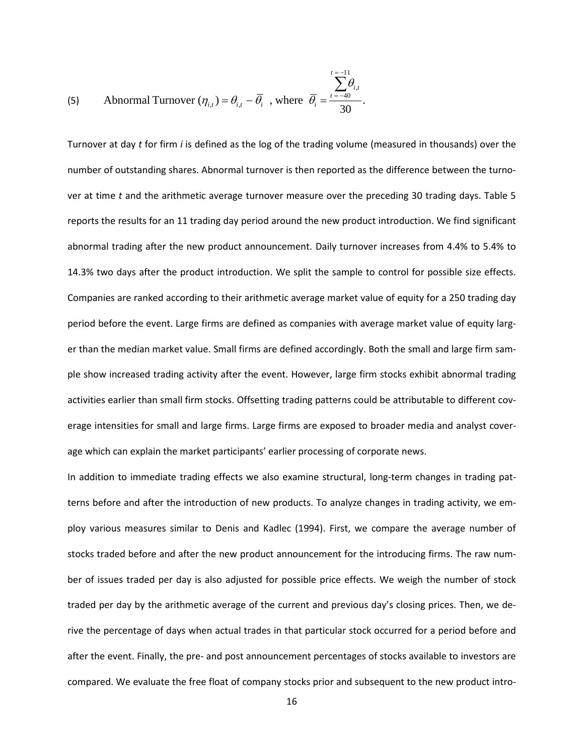(5) Abnormal Turnover 
$$
(\eta_{i,t}) = \theta_{i,t} - \overline{\theta}_i
$$
, where  $\overline{\theta}_i = \frac{\sum_{t=-40}^{t=-11} \theta_{i,t}}{30}$ .

Turnover at day *t* for firm *i* is defined as the log of the trading volume (measured in thousands) over the number of outstanding shares. Abnormal turnover is then reported as the difference between the turnover at time *t* and the arithmetic average turnover measure over the preceding 30 trading days. Table 5 reports the results for an 11 trading day period around the new product introduction. We find significant abnormal trading after the new product announcement. Daily turnover increases from 4.4% to 5.4% to 14.3% two days after the product introduction. We split the sample to control for possible size effects. Companies are ranked according to their arithmetic average market value of equity for a 250 trading day period before the event. Large firms are defined as companies with average market value of equity larger than the median market value. Small firms are defined accordingly. Both the small and large firm sample show increased trading activity after the event. However, large firm stocks exhibit abnormal trading activities earlier than small firm stocks. Offsetting trading patterns could be attributable to different coverage intensities for small and large firms. Large firms are exposed to broader media and analyst coverage which can explain the market participants' earlier processing of corporate news.

In addition to immediate trading effects we also examine structural, long-term changes in trading patterns before and after the introduction of new products. To analyze changes in trading activity, we employ various measures similar to Denis and Kadlec (1994). First, we compare the average number of stocks traded before and after the new product announcement for the introducing firms. The raw number of issues traded per day is also adjusted for possible price effects. We weigh the number of stock traded per day by the arithmetic average of the current and previous day's closing prices. Then, we derive the percentage of days when actual trades in that particular stock occurred for a period before and after the event. Finally, the pre- and post announcement percentages of stocks available to investors are compared. We evaluate the free float of company stocks prior and subsequent to the new product intro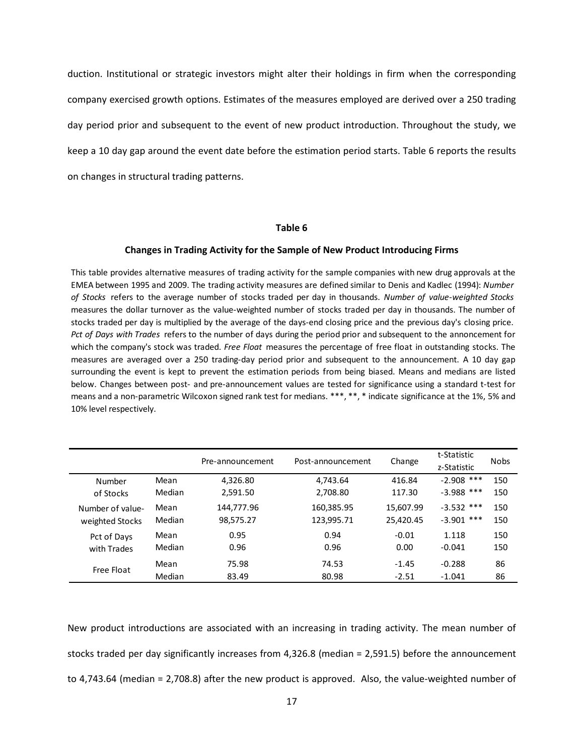duction. Institutional or strategic investors might alter their holdings in firm when the corresponding company exercised growth options. Estimates of the measures employed are derived over a 250 trading day period prior and subsequent to the event of new product introduction. Throughout the study, we keep a 10 day gap around the event date before the estimation period starts. Table 6 reports the results on changes in structural trading patterns.

### **Table 6**

#### **Changes in Trading Activity for the Sample of New Product Introducing Firms**

This table provides alternative measures of trading activity for the sample companies with new drug approvals at the EMEA between 1995 and 2009. The trading activity measures are defined similar to Denis and Kadlec (1994): *Number of Stocks* refers to the average number of stocks traded per day in thousands. *Number of value-weighted Stocks* measures the dollar turnover as the value-weighted number of stocks traded per day in thousands. The number of stocks traded per day is multiplied by the average of the days-end closing price and the previous day's closing price. *Pct of Days with Trades* refers to the number of days during the period prior and subsequent to the annoncement for which the company's stock was traded. *Free Float* measures the percentage of free float in outstanding stocks. The measures are averaged over a 250 trading-day period prior and subsequent to the announcement. A 10 day gap surrounding the event is kept to prevent the estimation periods from being biased. Means and medians are listed below. Changes between post- and pre-announcement values are tested for significance using a standard t-test for means and a non-parametric Wilcoxon signed rank test for medians. \*\*\*, \*\*, \* indicate significance at the 1%, 5% and 10% level respectively.

|                  |        | Pre-announcement | Post-announcement | Change    | t-Statistic  | <b>Nobs</b> |
|------------------|--------|------------------|-------------------|-----------|--------------|-------------|
|                  |        |                  |                   |           | z-Statistic  |             |
| Number           | Mean   | 4,326.80         | 4,743.64          | 416.84    | $-2.908$ *** | 150         |
| of Stocks        | Median | 2,591.50         | 2,708.80          | 117.30    | $-3.988$ *** | 150         |
| Number of value- | Mean   | 144,777.96       | 160,385.95        | 15,607.99 | $-3.532$ *** | 150         |
| weighted Stocks  | Median | 98,575.27        | 123,995.71        | 25,420.45 | $-3.901$ *** | 150         |
| Pct of Days      | Mean   | 0.95             | 0.94              | $-0.01$   | 1.118        | 150         |
| with Trades      | Median | 0.96             | 0.96              | 0.00      | $-0.041$     | 150         |
| Free Float       | Mean   | 75.98            | 74.53             | $-1.45$   | $-0.288$     | 86          |
|                  | Median | 83.49            | 80.98             | $-2.51$   | $-1.041$     | 86          |

New product introductions are associated with an increasing in trading activity. The mean number of stocks traded per day significantly increases from 4,326.8 (median = 2,591.5) before the announcement to 4,743.64 (median = 2,708.8) after the new product is approved. Also, the value-weighted number of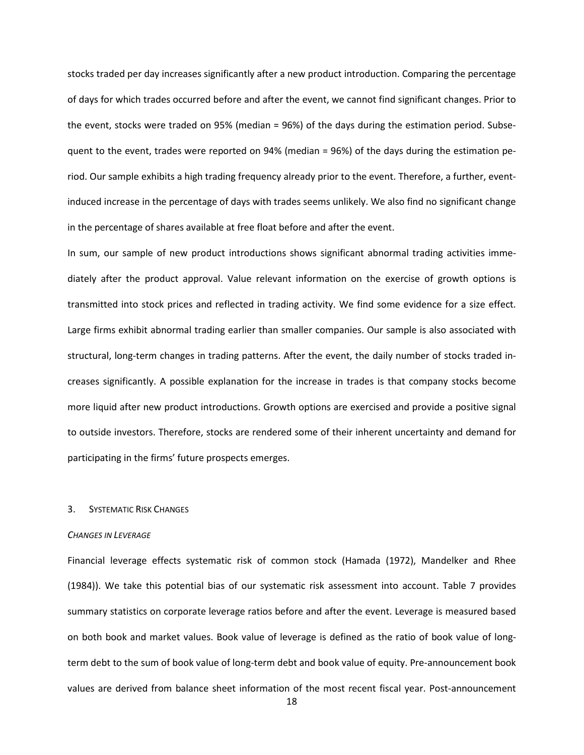stocks traded per day increases significantly after a new product introduction. Comparing the percentage of days for which trades occurred before and after the event, we cannot find significant changes. Prior to the event, stocks were traded on 95% (median = 96%) of the days during the estimation period. Subsequent to the event, trades were reported on 94% (median = 96%) of the days during the estimation period. Our sample exhibits a high trading frequency already prior to the event. Therefore, a further, eventinduced increase in the percentage of days with trades seems unlikely. We also find no significant change in the percentage of shares available at free float before and after the event.

In sum, our sample of new product introductions shows significant abnormal trading activities immediately after the product approval. Value relevant information on the exercise of growth options is transmitted into stock prices and reflected in trading activity. We find some evidence for a size effect. Large firms exhibit abnormal trading earlier than smaller companies. Our sample is also associated with structural, long-term changes in trading patterns. After the event, the daily number of stocks traded increases significantly. A possible explanation for the increase in trades is that company stocks become more liquid after new product introductions. Growth options are exercised and provide a positive signal to outside investors. Therefore, stocks are rendered some of their inherent uncertainty and demand for participating in the firms' future prospects emerges.

# 3. SYSTEMATIC RISK CHANGES

### *CHANGES IN LEVERAGE*

Financial leverage effects systematic risk of common stock (Hamada (1972), Mandelker and Rhee (1984)). We take this potential bias of our systematic risk assessment into account. Table 7 provides summary statistics on corporate leverage ratios before and after the event. Leverage is measured based on both book and market values. Book value of leverage is defined as the ratio of book value of longterm debt to the sum of book value of long-term debt and book value of equity. Pre-announcement book values are derived from balance sheet information of the most recent fiscal year. Post-announcement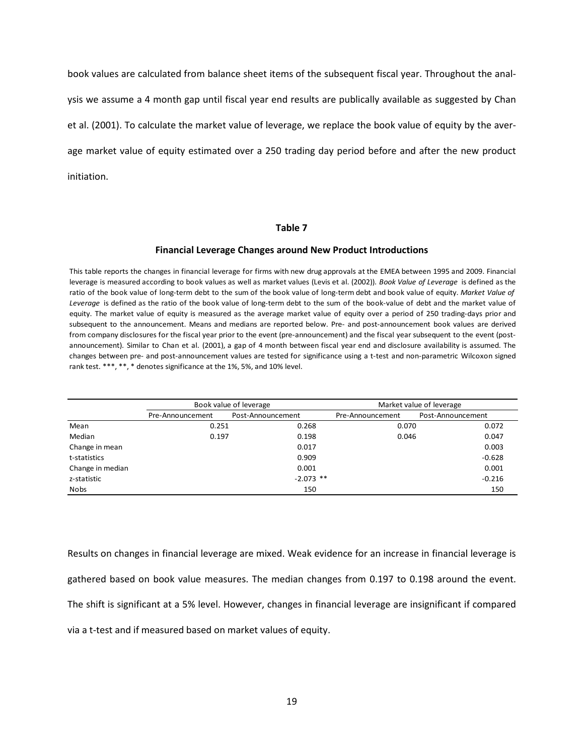book values are calculated from balance sheet items of the subsequent fiscal year. Throughout the analysis we assume a 4 month gap until fiscal year end results are publically available as suggested by Chan et al. (2001). To calculate the market value of leverage, we replace the book value of equity by the average market value of equity estimated over a 250 trading day period before and after the new product initiation.

#### **Table 7**

#### **Financial Leverage Changes around New Product Introductions**

This table reports the changes in financial leverage for firms with new drug approvals at the EMEA between 1995 and 2009. Financial leverage is measured according to book values as well as market values (Levis et al. (2002)). *Book Value of Leverage* is defined as the ratio of the book value of long-term debt to the sum of the book value of long-term debt and book value of equity. *Market Value of Leverage* is defined as the ratio of the book value of long-term debt to the sum of the book-value of debt and the market value of equity. The market value of equity is measured as the average market value of equity over a period of 250 trading-days prior and subsequent to the announcement. Means and medians are reported below. Pre- and post-announcement book values are derived from company disclosures for the fiscal year prior to the event (pre-announcement) and the fiscal year subsequent to the event (postannouncement). Similar to Chan et al. (2001), a gap of 4 month between fiscal year end and disclosure availability is assumed. The changes between pre- and post-announcement values are tested for significance using a t-test and non-parametric Wilcoxon signed rank test. \*\*\*, \*\*, \* denotes significance at the 1%, 5%, and 10% level.

|                  |                  | Book value of leverage |                  | Market value of leverage |
|------------------|------------------|------------------------|------------------|--------------------------|
|                  | Pre-Announcement | Post-Announcement      | Pre-Announcement | Post-Announcement        |
| Mean             | 0.251            | 0.268                  | 0.070            | 0.072                    |
| Median           | 0.197            | 0.198                  | 0.046            | 0.047                    |
| Change in mean   |                  | 0.017                  |                  | 0.003                    |
| t-statistics     |                  | 0.909                  |                  | $-0.628$                 |
| Change in median |                  | 0.001                  |                  | 0.001                    |
| z-statistic      |                  | $-2.073$ **            |                  | $-0.216$                 |
| Nobs             |                  | 150                    |                  | 150                      |

Results on changes in financial leverage are mixed. Weak evidence for an increase in financial leverage is gathered based on book value measures. The median changes from 0.197 to 0.198 around the event. The shift is significant at a 5% level. However, changes in financial leverage are insignificant if compared via a t-test and if measured based on market values of equity.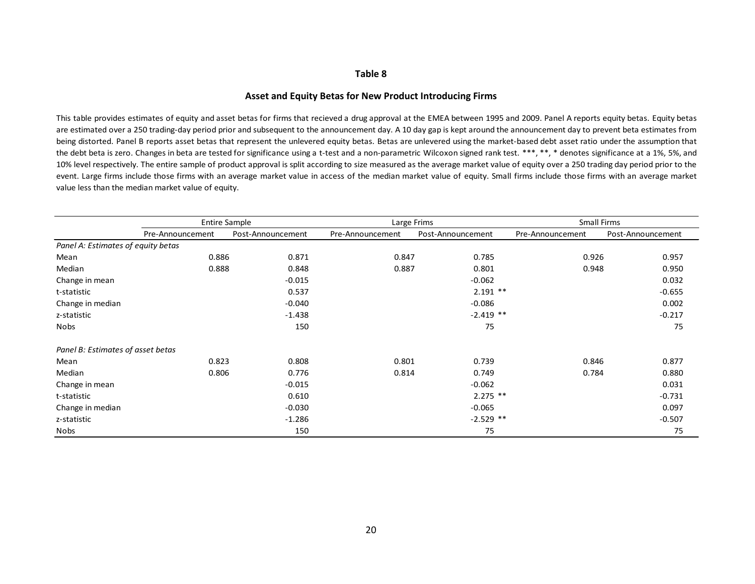#### **Table 8**

#### **Asset and Equity Betas for New Product Introducing Firms**

This table provides estimates of equity and asset betas for firms that recieved a drug approval at the EMEA between 1995 and 2009. Panel A reports equity betas. Equity betas are estimated over a 250 trading-day period prior and subsequent to the announcement day. A 10 day gap is kept around the announcement day to prevent beta estimates from being distorted. Panel B reports asset betas that represent the unlevered equity betas. Betas are unlevered using the market-based debt asset ratio under the assumption that the debt beta is zero. Changes in beta are tested for significance using a t-test and a non-parametric Wilcoxon signed rank test. \*\*\*, \*\*, \* denotes significance at a 1%, 5%, and 10% level respectively. The entire sample of product approval is split according to size measured as the average market value of equity over a 250 trading day period prior to the event. Large firms include those firms with an average market value in access of the median market value of equity. Small firms include those firms with an average market value less than the median market value of equity.

|                                    | <b>Entire Sample</b> |                   | Large Frims      |                   | Small Firms      |                   |  |  |  |
|------------------------------------|----------------------|-------------------|------------------|-------------------|------------------|-------------------|--|--|--|
|                                    | Pre-Announcement     | Post-Announcement | Pre-Announcement | Post-Announcement | Pre-Announcement | Post-Announcement |  |  |  |
| Panel A: Estimates of equity betas |                      |                   |                  |                   |                  |                   |  |  |  |
| Mean                               | 0.886                | 0.871             | 0.847            | 0.785             | 0.926            | 0.957             |  |  |  |
| Median                             | 0.888                | 0.848             | 0.887            | 0.801             | 0.948            | 0.950             |  |  |  |
| Change in mean                     |                      | $-0.015$          |                  | $-0.062$          |                  | 0.032             |  |  |  |
| t-statistic                        |                      | 0.537             |                  | $2.191$ **        |                  | $-0.655$          |  |  |  |
| Change in median                   |                      | $-0.040$          |                  | $-0.086$          |                  | 0.002             |  |  |  |
| z-statistic                        |                      | $-1.438$          |                  | $-2.419$ **       |                  | $-0.217$          |  |  |  |
| <b>Nobs</b>                        |                      | 150               |                  | 75                |                  | 75                |  |  |  |
| Panel B: Estimates of asset betas  |                      |                   |                  |                   |                  |                   |  |  |  |
| Mean                               | 0.823                | 0.808             | 0.801            | 0.739             | 0.846            | 0.877             |  |  |  |
| Median                             | 0.806                | 0.776             | 0.814            | 0.749             | 0.784            | 0.880             |  |  |  |
| Change in mean                     |                      | $-0.015$          |                  | $-0.062$          |                  | 0.031             |  |  |  |
| t-statistic                        |                      | 0.610             |                  | $2.275$ **        |                  | $-0.731$          |  |  |  |
| Change in median                   |                      | $-0.030$          |                  | $-0.065$          |                  | 0.097             |  |  |  |
| z-statistic                        |                      | $-1.286$          |                  | $-2.529$ **       |                  | $-0.507$          |  |  |  |
| Nobs                               |                      | 150               |                  | 75                |                  | 75                |  |  |  |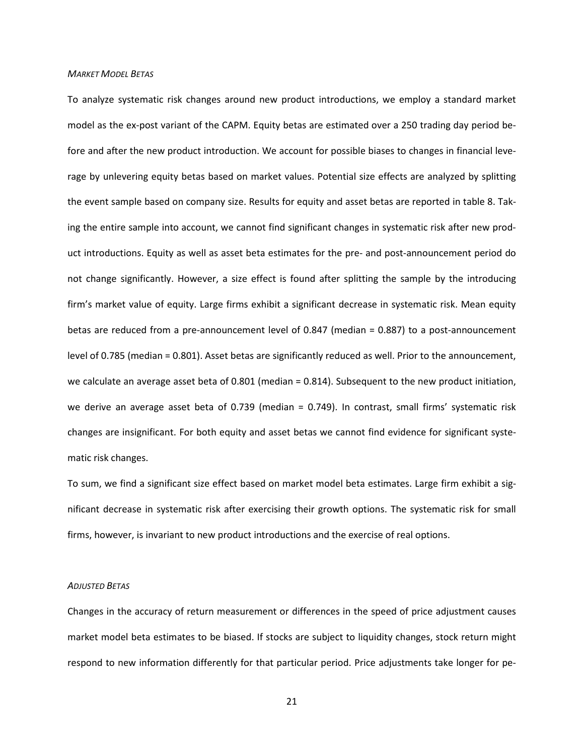# *MARKET MODEL BETAS*

To analyze systematic risk changes around new product introductions, we employ a standard market model as the ex-post variant of the CAPM. Equity betas are estimated over a 250 trading day period before and after the new product introduction. We account for possible biases to changes in financial leverage by unlevering equity betas based on market values. Potential size effects are analyzed by splitting the event sample based on company size. Results for equity and asset betas are reported in table 8. Taking the entire sample into account, we cannot find significant changes in systematic risk after new product introductions. Equity as well as asset beta estimates for the pre- and post-announcement period do not change significantly. However, a size effect is found after splitting the sample by the introducing firm's market value of equity. Large firms exhibit a significant decrease in systematic risk. Mean equity betas are reduced from a pre-announcement level of 0.847 (median = 0.887) to a post-announcement level of 0.785 (median = 0.801). Asset betas are significantly reduced as well. Prior to the announcement, we calculate an average asset beta of 0.801 (median = 0.814). Subsequent to the new product initiation, we derive an average asset beta of 0.739 (median = 0.749). In contrast, small firms' systematic risk changes are insignificant. For both equity and asset betas we cannot find evidence for significant systematic risk changes.

To sum, we find a significant size effect based on market model beta estimates. Large firm exhibit a significant decrease in systematic risk after exercising their growth options. The systematic risk for small firms, however, is invariant to new product introductions and the exercise of real options.

#### *ADJUSTED BETAS*

Changes in the accuracy of return measurement or differences in the speed of price adjustment causes market model beta estimates to be biased. If stocks are subject to liquidity changes, stock return might respond to new information differently for that particular period. Price adjustments take longer for pe-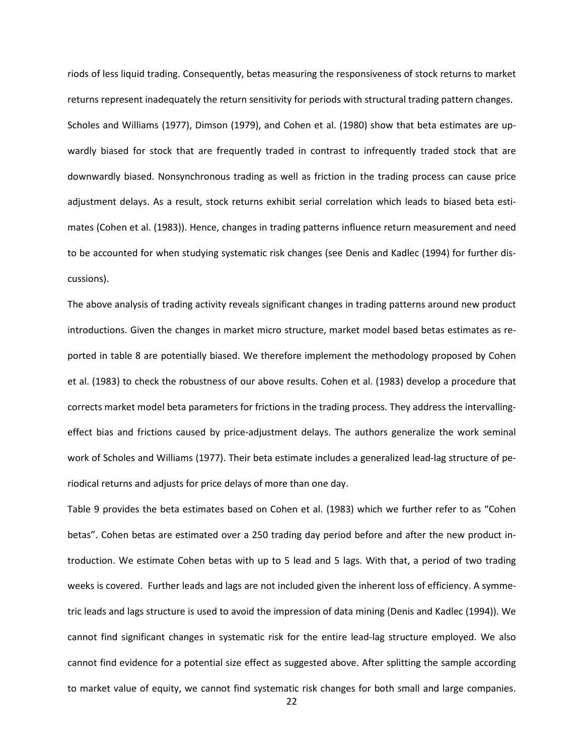riods of less liquid trading. Consequently, betas measuring the responsiveness of stock returns to market returns represent inadequately the return sensitivity for periods with structural trading pattern changes. Scholes and Williams (1977), Dimson (1979), and Cohen et al. (1980) show that beta estimates are upwardly biased for stock that are frequently traded in contrast to infrequently traded stock that are downwardly biased. Nonsynchronous trading as well as friction in the trading process can cause price adjustment delays. As a result, stock returns exhibit serial correlation which leads to biased beta estimates (Cohen et al. (1983)). Hence, changes in trading patterns influence return measurement and need to be accounted for when studying systematic risk changes (see Denis and Kadlec (1994) for further discussions).

The above analysis of trading activity reveals significant changes in trading patterns around new product introductions. Given the changes in market micro structure, market model based betas estimates as reported in table 8 are potentially biased. We therefore implement the methodology proposed by Cohen et al. (1983) to check the robustness of our above results. Cohen et al. (1983) develop a procedure that corrects market model beta parameters for frictions in the trading process. They address the intervallingeffect bias and frictions caused by price-adjustment delays. The authors generalize the work seminal work of Scholes and Williams (1977). Their beta estimate includes a generalized lead-lag structure of periodical returns and adjusts for price delays of more than one day.

Table 9 provides the beta estimates based on Cohen et al. (1983) which we further refer to as "Cohen betas". Cohen betas are estimated over a 250 trading day period before and after the new product introduction. We estimate Cohen betas with up to 5 lead and 5 lags. With that, a period of two trading weeks is covered. Further leads and lags are not included given the inherent loss of efficiency. A symmetric leads and lags structure is used to avoid the impression of data mining (Denis and Kadlec (1994)). We cannot find significant changes in systematic risk for the entire lead-lag structure employed. We also cannot find evidence for a potential size effect as suggested above. After splitting the sample according to market value of equity, we cannot find systematic risk changes for both small and large companies.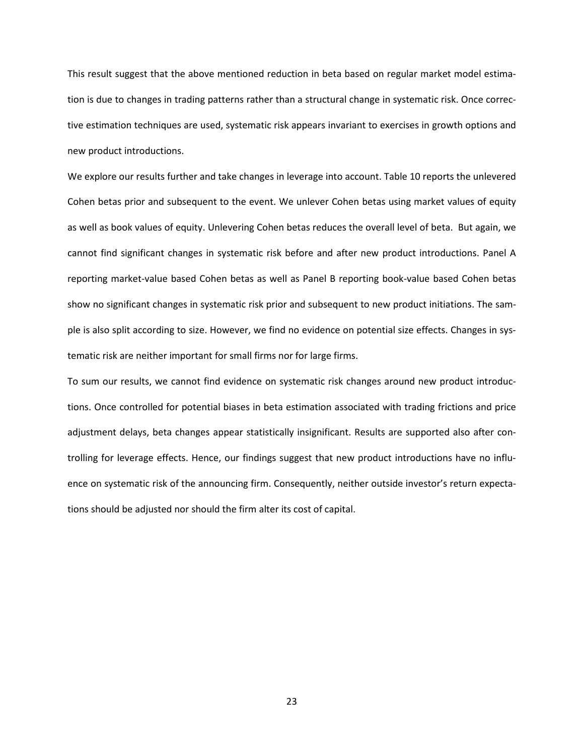This result suggest that the above mentioned reduction in beta based on regular market model estimation is due to changes in trading patterns rather than a structural change in systematic risk. Once corrective estimation techniques are used, systematic risk appears invariant to exercises in growth options and new product introductions.

We explore our results further and take changes in leverage into account. Table 10 reports the unlevered Cohen betas prior and subsequent to the event. We unlever Cohen betas using market values of equity as well as book values of equity. Unlevering Cohen betas reduces the overall level of beta. But again, we cannot find significant changes in systematic risk before and after new product introductions. Panel A reporting market-value based Cohen betas as well as Panel B reporting book-value based Cohen betas show no significant changes in systematic risk prior and subsequent to new product initiations. The sample is also split according to size. However, we find no evidence on potential size effects. Changes in systematic risk are neither important for small firms nor for large firms.

To sum our results, we cannot find evidence on systematic risk changes around new product introductions. Once controlled for potential biases in beta estimation associated with trading frictions and price adjustment delays, beta changes appear statistically insignificant. Results are supported also after controlling for leverage effects. Hence, our findings suggest that new product introductions have no influence on systematic risk of the announcing firm. Consequently, neither outside investor's return expectations should be adjusted nor should the firm alter its cost of capital.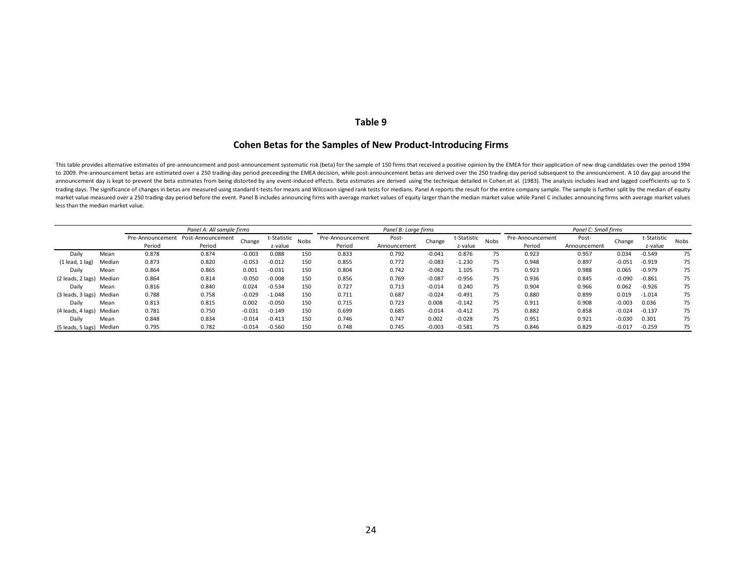# **Table 9**

# **Cohen Betas for the Samples of New Product-Introducing Firms**

This table provides alternative estimates of pre-announcement and post-announcement systematic risk (beta) for the sample of 150 firms that received a positive opinion by the EMEA for their application of new drug candidat to 2009. Pre-announcement betas are estimated over a 250 trading-day period preceeding the EMEA decision, while post-announcement betas are derived over the 250 trading-day period subsequent to the announcement. A 10 day g announcement day is kept to prevent the beta estimates from being distorted by any event-induced effects. Beta estimates are derived using the technique detailed in Cohen et al. (1983). The analysis includes lead and lagge trading days. The significance of changes in betas are measured using standard t-tests for means and Wilcoxon signed rank tests for medians. Panel A reports the result for the entire company sample. The sample is further s market value measured over a 250 trading-day period before the event. Panel B includes announcing firms with average market values of equity larger than the median market value while Panel C includes announcing firms with less than the median market value.

|                     |        |                  | Panel A: All sample firms |          |             |      |                  | Panel B: Large firms |          |             |      | Panel C: Small firms |              |          |             |      |
|---------------------|--------|------------------|---------------------------|----------|-------------|------|------------------|----------------------|----------|-------------|------|----------------------|--------------|----------|-------------|------|
|                     |        | Pre-Announcement | Post-Announcement         | Change   | t-Statistic | Nobs | Pre-Announcement | Post-                | Change   | t-Statistic | Nobs | Pre-Announcement     | Post-        | Change   | t-Statistic | Nobs |
|                     |        | Period           | Period                    |          | z-value     |      | Period           | Announcement         |          | z-value     |      | Period               | Announcement |          | z-value     |      |
| Daily               | Mean   | 0.878            | 0.874                     | $-0.003$ | 0.088       | 150  | 0.833            | 0.792                | $-0.041$ | 0.876       | 75   | 0.923                | 0.957        | 0.034    | $-0.549$    | 75   |
| $(1$ lead, $1$ lag) | Median | 0.873            | 0.820                     | $-0.053$ | $-0.012$    | 150  | 0.855            | 0.772                | $-0.083$ | $-1.230$    | 75   | 0.948                | 0.897        | $-0.051$ | $-0.919$    | 75   |
| Daily               | Mean   | 0.864            | 0.865                     | 0.001    | $-0.031$    | 150  | 0.804            | 0.742                | $-0.062$ | 1.105       | 75   | 0.923                | 0.988        | 0.065    | $-0.979$    | 75   |
| (2 leads, 2 lags)   | Median | 0.864            | 0.814                     | $-0.050$ | $-0.008$    | 150  | 0.856            | 0.769                | $-0.087$ | $-0.956$    | 75   | 0.936                | 0.845        | $-0.090$ | $-0.861$    | 75   |
| Daily               | Mean   | 0.816            | 0.840                     | 0.024    | $-0.534$    | 150  | 0.727            | 0.713                | $-0.014$ | 0.240       | 75   | 0.904                | 0.966        | 0.062    | $-0.926$    | 75   |
| (3 leads, 3 lags)   | Median | 0.788            | 0.758                     | $-0.029$ | $-1.048$    | 150  | 0.711            | 0.687                | $-0.024$ | $-0.491$    | 75   | 0.880                | 0.899        | 0.019    | $-1.014$    | 75   |
| Daily               | Mean   | 0.813            | 0.815                     | 0.002    | $-0.050$    | 150  | 0.715            | 0.723                | 0.008    | $-0.142$    | 75   | 0.911                | 0.908        | $-0.003$ | 0.036       | 75   |
| (4 leads, 4 lags)   | Median | 0.781            | 0.750                     | $-0.031$ | $-0.149$    | 150  | 0.699            | 0.685                | $-0.014$ | $-0.412$    | 75   | 0.882                | 0.858        | $-0.024$ | $-0.137$    | 75   |
| Daily               | Mean   | 0.848            | 0.834                     | $-0.014$ | $-0.413$    | 150  | 0.746            | 0.747                | 0.002    | $-0.028$    | 75   | 0.951                | 0.921        | $-0.030$ | 0.301       | 75   |
| (5 leads, 5 lags)   | Median | 0.795            | 0.782                     | $-0.014$ | $-0.560$    | 150  | 0.748            | 0.745                | $-0.003$ | $-0.581$    | 75   | 0.846                | 0.829        | $-0.017$ | $-0.259$    | 75   |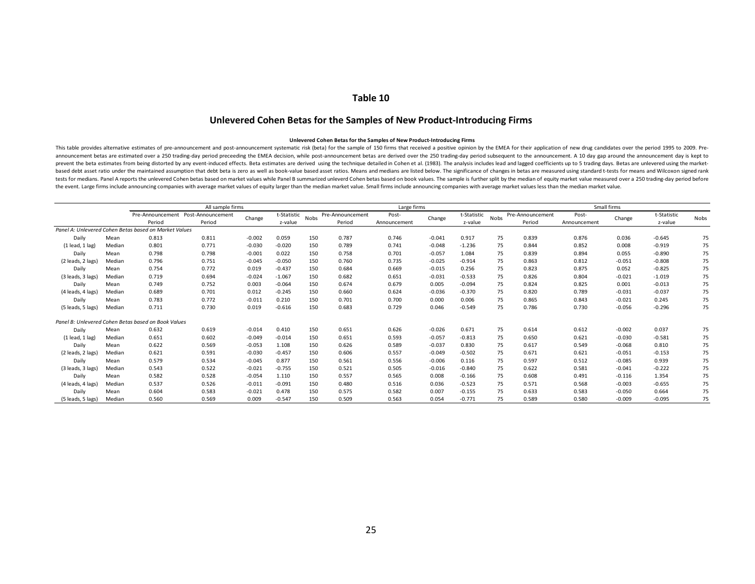# **Table 10**

# **Unlevered Cohen Betas for the Samples of New Product-Introducing Firms**

#### **Unlevered Cohen Betas for the Samples of New Product-Introducing Firms**

This table provides alternative estimates of pre-announcement and post-announcement systematic risk (beta) for the sample of 150 firms that received a positive opinion by the EMEA for their application of new drug candidat announcement betas are estimated over a 250 trading-day period preceeding the EMEA decision, while post-announcement betas are derived over the 250 trading-day period subsequent to the announcement. A 10 day gap around the prevent the beta estimates from being distorted by any event-induced effects. Beta estimates are derived using the technique detailed in Cohen et al. (1983). The analysis includes lead and lagged coefficients up to 5 tradi based debt asset ratio under the maintained assumption that debt beta is zero as well as book-value based asset ratios. Means and medians are listed below. The significance of changes in betas are measured using standard t tests for medians. Panel A reports the unlevered Cohen betas based on market values while Panel B summarized unleverd Cohen betas based on book values. The sample is further split by the median of equity market value measu the event. Large firms include announcing companies with average market values of equity larger than the median market value. Small firms include announcing companies with average market values less than the median market

|                     |        |                                                       | All sample firms                   |          |             |             |                  | Large firms  |          |             |      |                  |              | Small firms |             |      |
|---------------------|--------|-------------------------------------------------------|------------------------------------|----------|-------------|-------------|------------------|--------------|----------|-------------|------|------------------|--------------|-------------|-------------|------|
|                     |        |                                                       | Pre-Announcement Post-Announcement | Change   | t-Statistic | <b>Nobs</b> | Pre-Announcement | Post-        | Change   | t-Statistic | Nobs | Pre-Announcement | Post-        | Change      | t-Statistic | Nobs |
|                     |        | Period                                                | Period                             |          | z-value     |             | Period           | Announcement |          | z-value     |      | Period           | Announcement |             | z-value     |      |
|                     |        | Panel A: Unlevered Cohen Betas based on Market Values |                                    |          |             |             |                  |              |          |             |      |                  |              |             |             |      |
| Daily               | Mean   | 0.813                                                 | 0.811                              | $-0.002$ | 0.059       | 150         | 0.787            | 0.746        | $-0.041$ | 0.917       | 75   | 0.839            | 0.876        | 0.036       | $-0.645$    | 75   |
| $(1$ lead, $1$ lag) | Median | 0.801                                                 | 0.771                              | $-0.030$ | $-0.020$    | 150         | 0.789            | 0.741        | $-0.048$ | $-1.236$    | 75   | 0.844            | 0.852        | 0.008       | $-0.919$    | 75   |
| Daily               | Mean   | 0.798                                                 | 0.798                              | $-0.001$ | 0.022       | 150         | 0.758            | 0.701        | $-0.057$ | 1.084       | 75   | 0.839            | 0.894        | 0.055       | $-0.890$    | 75   |
| (2 leads, 2 lags)   | Median | 0.796                                                 | 0.751                              | $-0.045$ | $-0.050$    | 150         | 0.760            | 0.735        | $-0.025$ | $-0.914$    | 75   | 0.863            | 0.812        | $-0.051$    | $-0.808$    | 75   |
| Daily               | Mean   | 0.754                                                 | 0.772                              | 0.019    | $-0.437$    | 150         | 0.684            | 0.669        | $-0.015$ | 0.256       | 75   | 0.823            | 0.875        | 0.052       | $-0.825$    | 75   |
| (3 leads, 3 lags)   | Median | 0.719                                                 | 0.694                              | $-0.024$ | $-1.067$    | 150         | 0.682            | 0.651        | $-0.031$ | $-0.533$    | 75   | 0.826            | 0.804        | $-0.021$    | $-1.019$    | 75   |
| Daily               | Mean   | 0.749                                                 | 0.752                              | 0.003    | $-0.064$    | 150         | 0.674            | 0.679        | 0.005    | $-0.094$    | 75   | 0.824            | 0.825        | 0.001       | $-0.013$    | 75   |
| (4 leads, 4 lags)   | Median | 0.689                                                 | 0.701                              | 0.012    | $-0.245$    | 150         | 0.660            | 0.624        | $-0.036$ | $-0.370$    | 75   | 0.820            | 0.789        | $-0.031$    | $-0.037$    | 75   |
| Daily               | Mean   | 0.783                                                 | 0.772                              | $-0.011$ | 0.210       | 150         | 0.701            | 0.700        | 0.000    | 0.006       | 75   | 0.865            | 0.843        | $-0.021$    | 0.245       | 75   |
| (5 leads, 5 lags)   | Median | 0.711                                                 | 0.730                              | 0.019    | $-0.616$    | 150         | 0.683            | 0.729        | 0.046    | $-0.549$    | 75   | 0.786            | 0.730        | $-0.056$    | $-0.296$    | 75   |
|                     |        | Panel B: Unlevered Cohen Betas based on Book Values   |                                    |          |             |             |                  |              |          |             |      |                  |              |             |             |      |
| Daily               | Mean   | 0.632                                                 | 0.619                              | $-0.014$ | 0.410       | 150         | 0.651            | 0.626        | $-0.026$ | 0.671       | 75   | 0.614            | 0.612        | $-0.002$    | 0.037       | 75   |
| $(1$ lead, $1$ lag) | Median | 0.651                                                 | 0.602                              | $-0.049$ | $-0.014$    | 150         | 0.651            | 0.593        | $-0.057$ | $-0.813$    | 75   | 0.650            | 0.621        | $-0.030$    | $-0.581$    | 75   |
| Daily               | Mean   | 0.622                                                 | 0.569                              | $-0.053$ | 1.108       | 150         | 0.626            | 0.589        | $-0.037$ | 0.830       | 75   | 0.617            | 0.549        | $-0.068$    | 0.810       | 75   |
| (2 leads, 2 lags)   | Median | 0.621                                                 | 0.591                              | $-0.030$ | $-0.457$    | 150         | 0.606            | 0.557        | $-0.049$ | $-0.502$    | 75   | 0.671            | 0.621        | $-0.051$    | $-0.153$    | 75   |
| Daily               | Mean   | 0.579                                                 | 0.534                              | $-0.045$ | 0.877       | 150         | 0.561            | 0.556        | $-0.006$ | 0.116       | 75   | 0.597            | 0.512        | $-0.085$    | 0.939       | 75   |
| (3 leads, 3 lags)   | Median | 0.543                                                 | 0.522                              | $-0.021$ | $-0.755$    | 150         | 0.521            | 0.505        | $-0.016$ | $-0.840$    | 75   | 0.622            | 0.581        | $-0.041$    | $-0.222$    | 75   |
| Daily               | Mean   | 0.582                                                 | 0.528                              | $-0.054$ | 1.110       | 150         | 0.557            | 0.565        | 0.008    | $-0.166$    | 75   | 0.608            | 0.491        | $-0.116$    | 1.354       | 75   |
| (4 leads, 4 lags)   | Median | 0.537                                                 | 0.526                              | $-0.011$ | $-0.091$    | 150         | 0.480            | 0.516        | 0.036    | $-0.523$    | 75   | 0.571            | 0.568        | $-0.003$    | $-0.655$    | 75   |
| Daily               | Mean   | 0.604                                                 | 0.583                              | $-0.021$ | 0.478       | 150         | 0.575            | 0.582        | 0.007    | $-0.155$    | 75   | 0.633            | 0.583        | $-0.050$    | 0.664       | 75   |
| (5 leads, 5 lags)   | Median | 0.560                                                 | 0.569                              | 0.009    | $-0.547$    | 150         | 0.509            | 0.563        | 0.054    | $-0.771$    | 75   | 0.589            | 0.580        | $-0.009$    | $-0.095$    | 75   |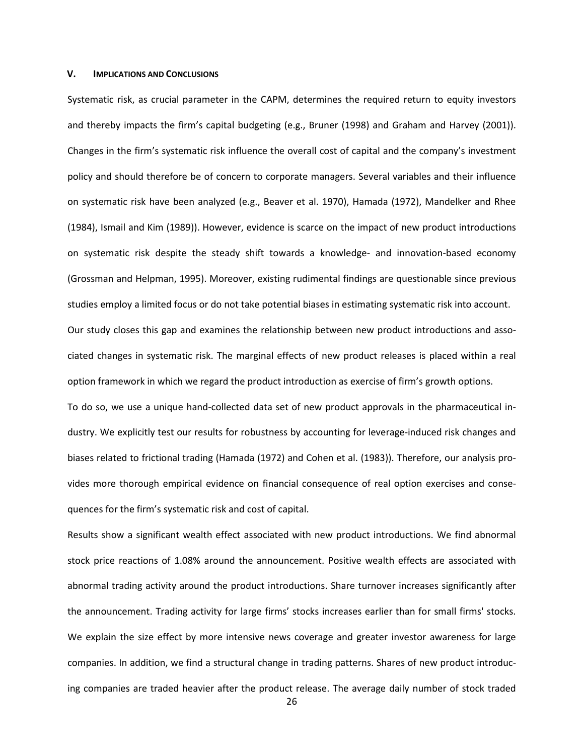### **V. IMPLICATIONS AND CONCLUSIONS**

Systematic risk, as crucial parameter in the CAPM, determines the required return to equity investors and thereby impacts the firm's capital budgeting (e.g., Bruner (1998) and Graham and Harvey (2001)). Changes in the firm's systematic risk influence the overall cost of capital and the company's investment policy and should therefore be of concern to corporate managers. Several variables and their influence on systematic risk have been analyzed (e.g., Beaver et al. 1970), Hamada (1972), Mandelker and Rhee (1984), Ismail and Kim (1989)). However, evidence is scarce on the impact of new product introductions on systematic risk despite the steady shift towards a knowledge- and innovation-based economy (Grossman and Helpman, 1995). Moreover, existing rudimental findings are questionable since previous studies employ a limited focus or do not take potential biases in estimating systematic risk into account. Our study closes this gap and examines the relationship between new product introductions and associated changes in systematic risk. The marginal effects of new product releases is placed within a real option framework in which we regard the product introduction as exercise of firm's growth options.

To do so, we use a unique hand-collected data set of new product approvals in the pharmaceutical industry. We explicitly test our results for robustness by accounting for leverage-induced risk changes and biases related to frictional trading (Hamada (1972) and Cohen et al. (1983)). Therefore, our analysis provides more thorough empirical evidence on financial consequence of real option exercises and consequences for the firm's systematic risk and cost of capital.

Results show a significant wealth effect associated with new product introductions. We find abnormal stock price reactions of 1.08% around the announcement. Positive wealth effects are associated with abnormal trading activity around the product introductions. Share turnover increases significantly after the announcement. Trading activity for large firms' stocks increases earlier than for small firms' stocks. We explain the size effect by more intensive news coverage and greater investor awareness for large companies. In addition, we find a structural change in trading patterns. Shares of new product introducing companies are traded heavier after the product release. The average daily number of stock traded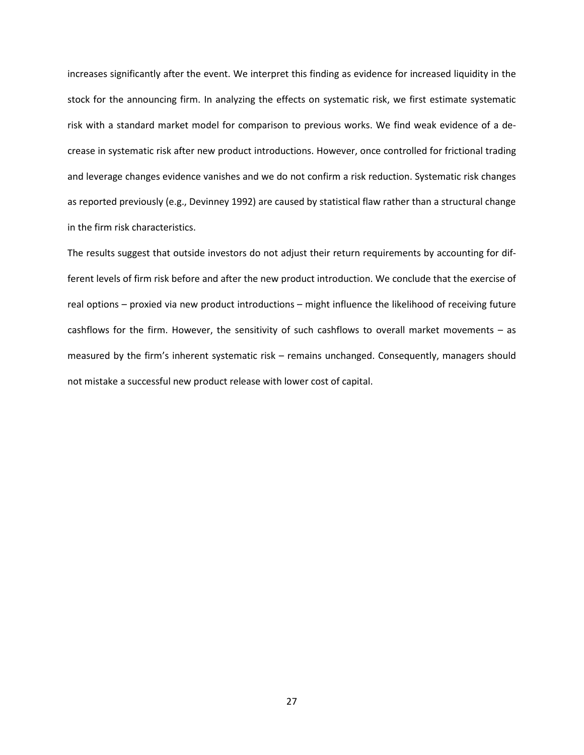increases significantly after the event. We interpret this finding as evidence for increased liquidity in the stock for the announcing firm. In analyzing the effects on systematic risk, we first estimate systematic risk with a standard market model for comparison to previous works. We find weak evidence of a decrease in systematic risk after new product introductions. However, once controlled for frictional trading and leverage changes evidence vanishes and we do not confirm a risk reduction. Systematic risk changes as reported previously (e.g., Devinney 1992) are caused by statistical flaw rather than a structural change in the firm risk characteristics.

The results suggest that outside investors do not adjust their return requirements by accounting for different levels of firm risk before and after the new product introduction. We conclude that the exercise of real options – proxied via new product introductions – might influence the likelihood of receiving future cashflows for the firm. However, the sensitivity of such cashflows to overall market movements – as measured by the firm's inherent systematic risk – remains unchanged. Consequently, managers should not mistake a successful new product release with lower cost of capital.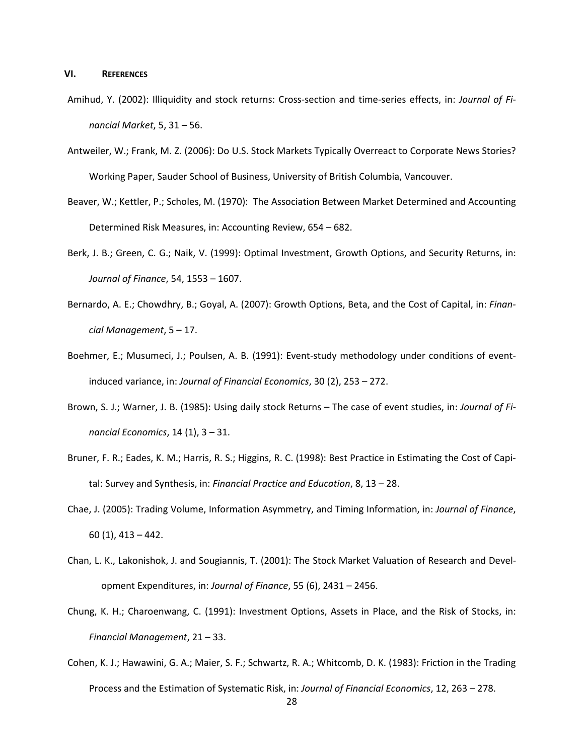#### **VI. REFERENCES**

- Amihud, Y. (2002): Illiquidity and stock returns: Cross-section and time-series effects, in: *Journal of Financial Market*, 5, 31 – 56.
- Antweiler, W.; Frank, M. Z. (2006): Do U.S. Stock Markets Typically Overreact to Corporate News Stories? Working Paper, Sauder School of Business, University of British Columbia, Vancouver.
- Beaver, W.; Kettler, P.; Scholes, M. (1970): The Association Between Market Determined and Accounting Determined Risk Measures, in: Accounting Review, 654 – 682.
- Berk, J. B.; Green, C. G.; Naik, V. (1999): Optimal Investment, Growth Options, and Security Returns, in: *Journal of Finance*, 54, 1553 – 1607.
- Bernardo, A. E.; Chowdhry, B.; Goyal, A. (2007): Growth Options, Beta, and the Cost of Capital, in: *Financial Management*, 5 – 17.
- Boehmer, E.; Musumeci, J.; Poulsen, A. B. (1991): Event-study methodology under conditions of eventinduced variance, in: *Journal of Financial Economics*, 30 (2), 253 – 272.
- Brown, S. J.; Warner, J. B. (1985): Using daily stock Returns The case of event studies, in: *Journal of Financial Economics*, 14 (1), 3 – 31.
- Bruner, F. R.; Eades, K. M.; Harris, R. S.; Higgins, R. C. (1998): Best Practice in Estimating the Cost of Capital: Survey and Synthesis, in: *Financial Practice and Education*, 8, 13 – 28.
- Chae, J. (2005): Trading Volume, Information Asymmetry, and Timing Information, in: *Journal of Finance*, 60 (1), 413 – 442.
- Chan, L. K., Lakonishok, J. and Sougiannis, T. (2001): The Stock Market Valuation of Research and Development Expenditures, in: *Journal of Finance*, 55 (6), 2431 – 2456.
- Chung, K. H.; Charoenwang, C. (1991): Investment Options, Assets in Place, and the Risk of Stocks, in: *Financial Management*, 21 – 33.
- Cohen, K. J.; Hawawini, G. A.; Maier, S. F.; Schwartz, R. A.; Whitcomb, D. K. (1983): Friction in the Trading Process and the Estimation of Systematic Risk, in: *Journal of Financial Economics*, 12, 263 – 278.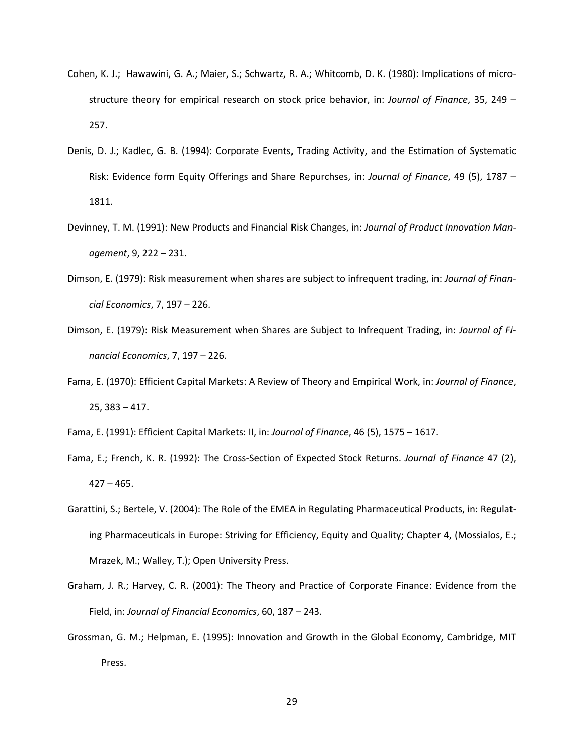- Cohen, K. J.; Hawawini, G. A.; Maier, S.; Schwartz, R. A.; Whitcomb, D. K. (1980): Implications of microstructure theory for empirical research on stock price behavior, in: *Journal of Finance*, 35, 249 – 257.
- Denis, D. J.; Kadlec, G. B. (1994): Corporate Events, Trading Activity, and the Estimation of Systematic Risk: Evidence form Equity Offerings and Share Repurchses, in: *Journal of Finance*, 49 (5), 1787 – 1811.
- Devinney, T. M. (1991): New Products and Financial Risk Changes, in: *Journal of Product Innovation Management*, 9, 222 – 231.
- Dimson, E. (1979): Risk measurement when shares are subject to infrequent trading, in: *Journal of Financial Economics*, 7, 197 – 226.
- Dimson, E. (1979): Risk Measurement when Shares are Subject to Infrequent Trading, in: *Journal of Financial Economics*, 7, 197 – 226.
- Fama, E. (1970): Efficient Capital Markets: A Review of Theory and Empirical Work, in: *Journal of Finance*, 25, 383 – 417.
- Fama, E. (1991): Efficient Capital Markets: II, in: *Journal of Finance*, 46 (5), 1575 1617.
- Fama, E.; French, K. R. (1992): The Cross-Section of Expected Stock Returns. *Journal of Finance* 47 (2), 427 – 465.
- Garattini, S.; Bertele, V. (2004): The Role of the EMEA in Regulating Pharmaceutical Products, in: Regulating Pharmaceuticals in Europe: Striving for Efficiency, Equity and Quality; Chapter 4, (Mossialos, E.; Mrazek, M.; Walley, T.); Open University Press.
- Graham, J. R.; Harvey, C. R. (2001): The Theory and Practice of Corporate Finance: Evidence from the Field, in: *Journal of Financial Economics*, 60, 187 – 243.
- Grossman, G. M.; Helpman, E. (1995): Innovation and Growth in the Global Economy, Cambridge, MIT Press.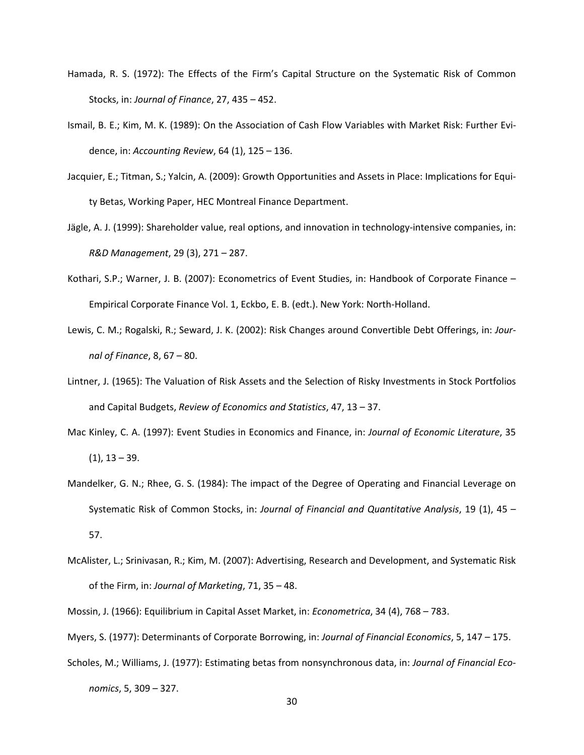- Hamada, R. S. (1972): The Effects of the Firm's Capital Structure on the Systematic Risk of Common Stocks, in: *Journal of Finance*, 27, 435 – 452.
- Ismail, B. E.; Kim, M. K. (1989): On the Association of Cash Flow Variables with Market Risk: Further Evidence, in: *Accounting Review*, 64 (1), 125 – 136.
- Jacquier, E.; Titman, S.; Yalcin, A. (2009): Growth Opportunities and Assets in Place: Implications for Equity Betas, Working Paper, HEC Montreal Finance Department.
- Jägle, A. J. (1999): Shareholder value, real options, and innovation in technology-intensive companies, in: *R&D Management*, 29 (3), 271 – 287.
- Kothari, S.P.; Warner, J. B. (2007): Econometrics of Event Studies, in: Handbook of Corporate Finance Empirical Corporate Finance Vol. 1, Eckbo, E. B. (edt.). New York: North-Holland.
- Lewis, C. M.; Rogalski, R.; Seward, J. K. (2002): Risk Changes around Convertible Debt Offerings, in: *Journal of Finance*, 8, 67 – 80.
- Lintner, J. (1965): The Valuation of Risk Assets and the Selection of Risky Investments in Stock Portfolios and Capital Budgets, *Review of Economics and Statistics*, 47, 13 – 37.
- Mac Kinley, C. A. (1997): Event Studies in Economics and Finance, in: *Journal of Economic Literature*, 35  $(1), 13 - 39.$
- Mandelker, G. N.; Rhee, G. S. (1984): The impact of the Degree of Operating and Financial Leverage on Systematic Risk of Common Stocks, in: *Journal of Financial and Quantitative Analysis*, 19 (1), 45 – 57.
- McAlister, L.; Srinivasan, R.; Kim, M. (2007): Advertising, Research and Development, and Systematic Risk of the Firm, in: *Journal of Marketing*, 71, 35 – 48.
- Mossin, J. (1966): Equilibrium in Capital Asset Market, in: *Econometrica*, 34 (4), 768 783.
- Myers, S. (1977): Determinants of Corporate Borrowing, in: *Journal of Financial Economics*, 5, 147 175.
- Scholes, M.; Williams, J. (1977): Estimating betas from nonsynchronous data, in: *Journal of Financial Economics*, 5, 309 – 327.